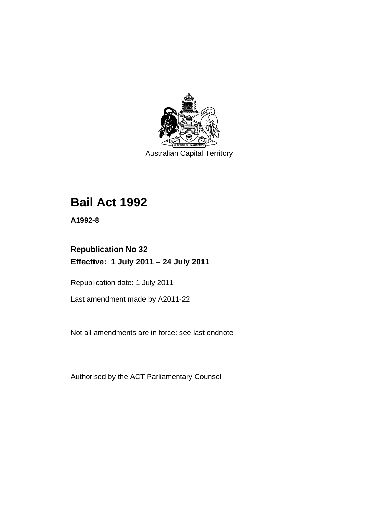

Australian Capital Territory

# **Bail Act 1992**

**A1992-8** 

# **Republication No 32 Effective: 1 July 2011 – 24 July 2011**

Republication date: 1 July 2011

Last amendment made by A2011-22

Not all amendments are in force: see last endnote

Authorised by the ACT Parliamentary Counsel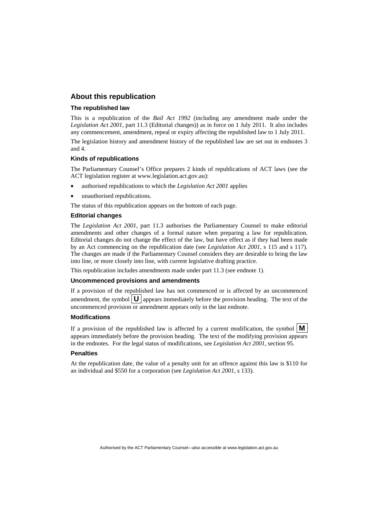#### **About this republication**

#### **The republished law**

This is a republication of the *Bail Act 1992* (including any amendment made under the *Legislation Act 2001*, part 11.3 (Editorial changes)) as in force on 1 July 2011*.* It also includes any commencement, amendment, repeal or expiry affecting the republished law to 1 July 2011.

The legislation history and amendment history of the republished law are set out in endnotes 3 and 4.

#### **Kinds of republications**

The Parliamentary Counsel's Office prepares 2 kinds of republications of ACT laws (see the ACT legislation register at www.legislation.act.gov.au):

- authorised republications to which the *Legislation Act 2001* applies
- unauthorised republications.

The status of this republication appears on the bottom of each page.

#### **Editorial changes**

The *Legislation Act 2001*, part 11.3 authorises the Parliamentary Counsel to make editorial amendments and other changes of a formal nature when preparing a law for republication. Editorial changes do not change the effect of the law, but have effect as if they had been made by an Act commencing on the republication date (see *Legislation Act 2001*, s 115 and s 117). The changes are made if the Parliamentary Counsel considers they are desirable to bring the law into line, or more closely into line, with current legislative drafting practice.

This republication includes amendments made under part 11.3 (see endnote 1).

#### **Uncommenced provisions and amendments**

If a provision of the republished law has not commenced or is affected by an uncommenced amendment, the symbol  $\mathbf{U}$  appears immediately before the provision heading. The text of the uncommenced provision or amendment appears only in the last endnote.

#### **Modifications**

If a provision of the republished law is affected by a current modification, the symbol  $\mathbf{M}$ appears immediately before the provision heading. The text of the modifying provision appears in the endnotes. For the legal status of modifications, see *Legislation Act 2001*, section 95.

#### **Penalties**

At the republication date, the value of a penalty unit for an offence against this law is \$110 for an individual and \$550 for a corporation (see *Legislation Act 2001*, s 133).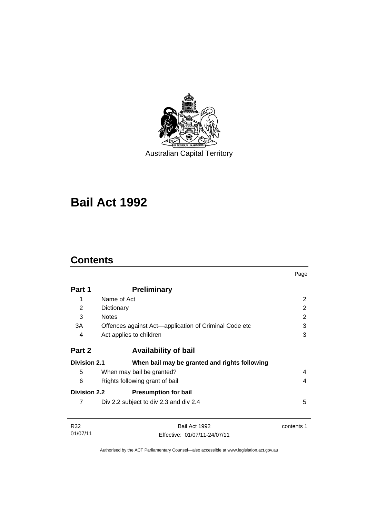

Australian Capital Territory

# **Bail Act 1992**

# **Contents**

| Part 1              | <b>Preliminary</b>                                    |                |
|---------------------|-------------------------------------------------------|----------------|
|                     |                                                       |                |
| 1                   | Name of Act                                           | $\overline{2}$ |
| 2                   | Dictionary                                            | 2              |
| 3                   | <b>Notes</b>                                          | 2              |
| 3A                  | Offences against Act-application of Criminal Code etc | 3              |
| 4                   | Act applies to children                               | 3              |
| Part 2              | <b>Availability of bail</b>                           |                |
| <b>Division 2.1</b> | When bail may be granted and rights following         |                |
| 5                   | When may bail be granted?                             | 4              |
| 6                   | Rights following grant of bail                        | 4              |
| <b>Division 2.2</b> | <b>Presumption for bail</b>                           |                |
| 7                   | Div 2.2 subject to div 2.3 and div 2.4                | 5              |
|                     |                                                       |                |
| R32<br>01/07/11     | Bail Act 1992                                         | contents 1     |
|                     | Effective: 01/07/11-24/07/11                          |                |

Page

Authorised by the ACT Parliamentary Counsel—also accessible at www.legislation.act.gov.au

Effective: 01/07/11-24/07/11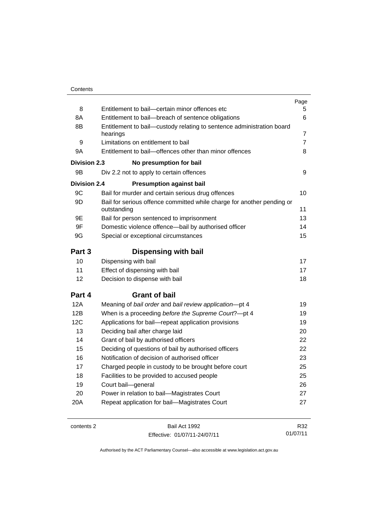|                     |                                                                                   | Page           |
|---------------------|-----------------------------------------------------------------------------------|----------------|
| 8                   | Entitlement to bail-certain minor offences etc                                    | 5              |
| 8A                  | Entitlement to bail-breach of sentence obligations                                | 6              |
| 8B                  | Entitlement to bail-custody relating to sentence administration board<br>hearings | $\overline{7}$ |
| 9                   | Limitations on entitlement to bail                                                | $\overline{7}$ |
| 9A                  | Entitlement to bail-offences other than minor offences                            | 8              |
|                     | <b>Division 2.3</b><br>No presumption for bail                                    |                |
| 9B                  | Div 2.2 not to apply to certain offences                                          | 9              |
| <b>Division 2.4</b> | <b>Presumption against bail</b>                                                   |                |
| 9C                  | Bail for murder and certain serious drug offences                                 | 10             |
| 9D                  | Bail for serious offence committed while charge for another pending or            |                |
|                     | outstanding                                                                       | 11             |
| 9E                  | Bail for person sentenced to imprisonment                                         | 13             |
| 9F                  | Domestic violence offence-bail by authorised officer                              | 14             |
| 9G                  | Special or exceptional circumstances                                              | 15             |
| Part 3              | <b>Dispensing with bail</b>                                                       |                |
| 10                  | Dispensing with bail                                                              | 17             |
| 11                  | Effect of dispensing with bail                                                    | 17             |
| 12                  | Decision to dispense with bail                                                    | 18             |
| Part 4              | <b>Grant of bail</b>                                                              |                |
| 12A                 | Meaning of bail order and bail review application-pt 4                            | 19             |
| 12B                 | When is a proceeding before the Supreme Court?-pt 4                               | 19             |
| 12C                 | Applications for bail-repeat application provisions                               | 19             |
| 13                  | Deciding bail after charge laid                                                   | 20             |
| 14                  | Grant of bail by authorised officers                                              | 22             |
| 15                  | Deciding of questions of bail by authorised officers                              | 22             |
| 16                  | Notification of decision of authorised officer                                    | 23             |
| 17                  | Charged people in custody to be brought before court                              | 25             |
| 18                  | Facilities to be provided to accused people                                       | 25             |
| 19                  | Court bail-general                                                                | 26             |
| 20                  | Power in relation to bail-Magistrates Court                                       | 27             |
| 20A                 | Repeat application for bail-Magistrates Court                                     | 27             |
|                     |                                                                                   |                |

contents 2 Bail Act 1992 Effective: 01/07/11-24/07/11

R32 01/07/11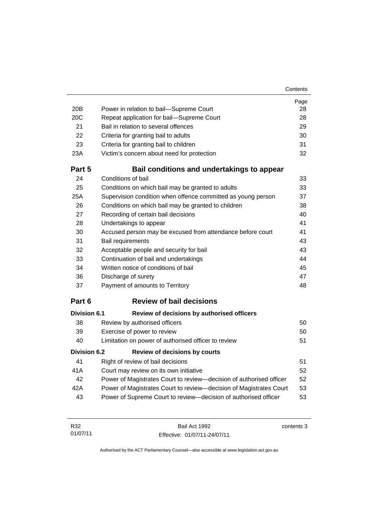#### **Contents**

|              |                                                                     | Page |
|--------------|---------------------------------------------------------------------|------|
| 20B          | Power in relation to bail-Supreme Court                             | 28   |
| 20C          | Repeat application for bail-Supreme Court                           | 28   |
| 21           | Bail in relation to several offences                                | 29   |
| 22           | Criteria for granting bail to adults                                | 30   |
| 23           | Criteria for granting bail to children                              | 31   |
| 23A          | Victim's concern about need for protection                          | 32   |
| Part 5       | Bail conditions and undertakings to appear                          |      |
| 24           | Conditions of bail                                                  | 33   |
| 25           | Conditions on which bail may be granted to adults                   | 33   |
| 25A          | Supervision condition when offence committed as young person        | 37   |
| 26           | Conditions on which bail may be granted to children                 | 38   |
| 27           | Recording of certain bail decisions                                 | 40   |
| 28           | Undertakings to appear                                              | 41   |
| 30           | Accused person may be excused from attendance before court          | 41   |
| 31           | Bail requirements                                                   | 43   |
| 32           | Acceptable people and security for bail                             | 43   |
| 33           | Continuation of bail and undertakings                               | 44   |
| 34           | Written notice of conditions of bail                                | 45   |
| 36           | Discharge of surety                                                 | 47   |
| 37           | Payment of amounts to Territory                                     | 48   |
| Part 6       | <b>Review of bail decisions</b>                                     |      |
| Division 6.1 | Review of decisions by authorised officers                          |      |
| 38           | Review by authorised officers                                       | 50   |
| 39           | Exercise of power to review                                         | 50   |
| 40           | Limitation on power of authorised officer to review                 | 51   |
| Division 6.2 | <b>Review of decisions by courts</b>                                |      |
| 41           | Right of review of bail decisions                                   | 51   |
| 41A          | Court may review on its own initiative                              | 52   |
| 42           | Power of Magistrates Court to review-decision of authorised officer | 52   |
| 42A          | Power of Magistrates Court to review-decision of Magistrates Court  | 53   |
| 43           | Power of Supreme Court to review-decision of authorised officer     | 53   |

| R32      | Bail Act 1992                | contents 3 |
|----------|------------------------------|------------|
| 01/07/11 | Effective: 01/07/11-24/07/11 |            |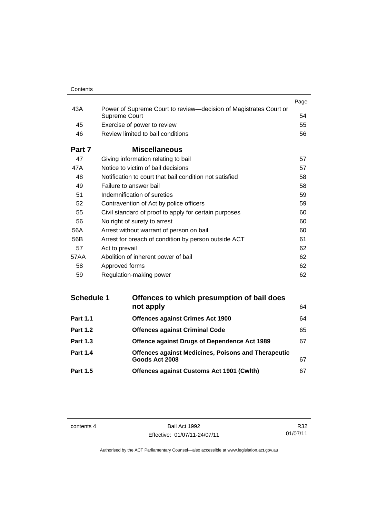| Contents |
|----------|
|          |

| 43A    |                                                                                           | Page |
|--------|-------------------------------------------------------------------------------------------|------|
|        | Power of Supreme Court to review-decision of Magistrates Court or<br><b>Supreme Court</b> | 54   |
| 45     | Exercise of power to review                                                               | 55   |
| 46     | Review limited to bail conditions                                                         | 56   |
| Part 7 | <b>Miscellaneous</b>                                                                      |      |
| 47     | Giving information relating to bail                                                       | 57   |
| 47A    | Notice to victim of bail decisions                                                        | 57   |
| 48     | Notification to court that bail condition not satisfied                                   | 58   |
| 49     | Failure to answer bail                                                                    | 58   |
| 51     | Indemnification of sureties                                                               | 59   |
| 52     | Contravention of Act by police officers                                                   | 59   |
| 55     | Civil standard of proof to apply for certain purposes                                     | 60   |
| 56     | No right of surety to arrest                                                              | 60   |
| 56A    | Arrest without warrant of person on bail                                                  | 60   |
| 56B    | Arrest for breach of condition by person outside ACT                                      | 61   |
| 57     | Act to prevail                                                                            | 62   |
| 57AA   | Abolition of inherent power of bail                                                       | 62   |
| 58     | Approved forms                                                                            | 62   |
| 59     | Regulation-making power                                                                   | 62   |

| <b>Schedule 1</b> | Offences to which presumption of bail does                 |    |  |
|-------------------|------------------------------------------------------------|----|--|
|                   | not apply                                                  | 64 |  |
| <b>Part 1.1</b>   | <b>Offences against Crimes Act 1900</b>                    | 64 |  |
| <b>Part 1.2</b>   | <b>Offences against Criminal Code</b>                      | 65 |  |
| <b>Part 1.3</b>   | Offence against Drugs of Dependence Act 1989               | 67 |  |
| <b>Part 1.4</b>   | <b>Offences against Medicines, Poisons and Therapeutic</b> |    |  |
|                   | Goods Act 2008                                             | 67 |  |
| <b>Part 1.5</b>   | <b>Offences against Customs Act 1901 (Cwlth)</b>           | 67 |  |
|                   |                                                            |    |  |

contents 4 Bail Act 1992 Effective: 01/07/11-24/07/11

R32 01/07/11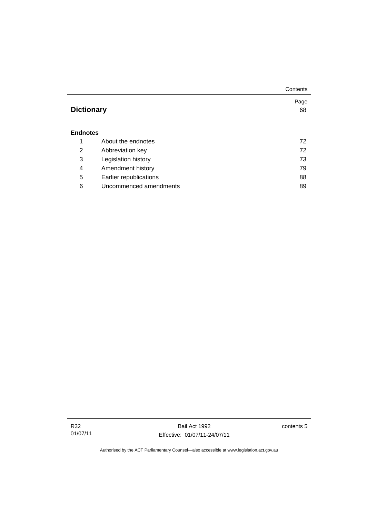|                   |                        | Contents |
|-------------------|------------------------|----------|
|                   |                        | Page     |
| <b>Dictionary</b> |                        | 68       |
|                   |                        |          |
| <b>Endnotes</b>   |                        |          |
| 1                 | About the endnotes     | 72       |
| 2                 | Abbreviation key       | 72       |
| 3                 | Legislation history    | 73       |
| 4                 | Amendment history      | 79       |
| 5                 | Earlier republications | 88       |
| 6                 | Uncommenced amendments | 89       |

contents 5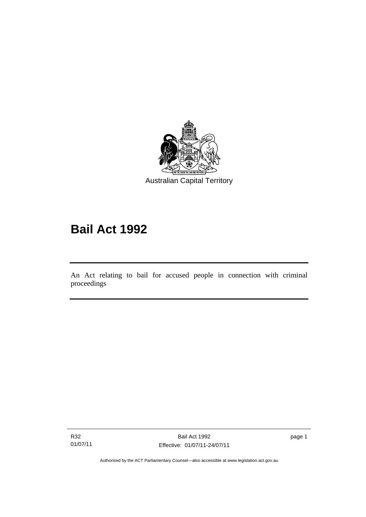

# **Bail Act 1992**

An Act relating to bail for accused people in connection with criminal proceedings

R32 01/07/11

l

page 1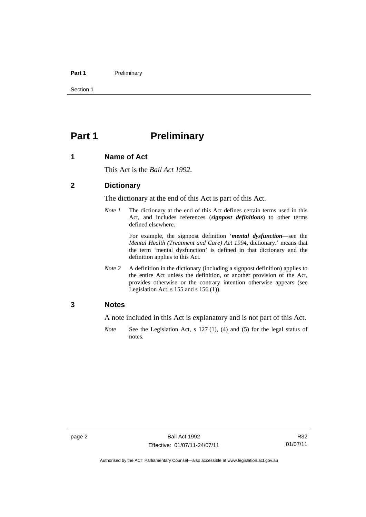#### Part 1 **Preliminary**

Section 1

# <span id="page-9-0"></span>**Part 1** Preliminary

#### <span id="page-9-1"></span>**1 Name of Act**

This Act is the *Bail Act 1992*.

#### <span id="page-9-2"></span>**2 Dictionary**

The dictionary at the end of this Act is part of this Act.

*Note 1* The dictionary at the end of this Act defines certain terms used in this Act, and includes references (*signpost definitions*) to other terms defined elsewhere.

> For example, the signpost definition '*mental dysfunction*—see the *Mental Health (Treatment and Care) Act 1994*, dictionary.' means that the term 'mental dysfunction' is defined in that dictionary and the definition applies to this Act.

*Note* 2 A definition in the dictionary (including a signpost definition) applies to the entire Act unless the definition, or another provision of the Act, provides otherwise or the contrary intention otherwise appears (see Legislation Act, s  $155$  and s  $156$  (1)).

#### <span id="page-9-3"></span>**3 Notes**

A note included in this Act is explanatory and is not part of this Act.

*Note* See the Legislation Act, s 127 (1), (4) and (5) for the legal status of notes.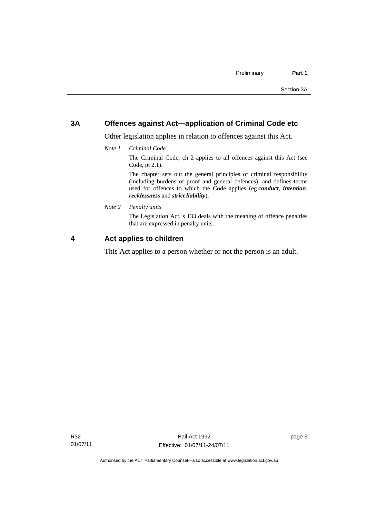#### <span id="page-10-0"></span>**3A Offences against Act—application of Criminal Code etc**

Other legislation applies in relation to offences against this Act.

*Note 1 Criminal Code*

The Criminal Code, ch 2 applies to all offences against this Act (see Code, pt 2.1).

The chapter sets out the general principles of criminal responsibility (including burdens of proof and general defences), and defines terms used for offences to which the Code applies (eg *conduct*, *intention*, *recklessness* and *strict liability*).

*Note 2 Penalty units* 

The Legislation Act, s 133 deals with the meaning of offence penalties that are expressed in penalty units.

## <span id="page-10-1"></span>**4 Act applies to children**

This Act applies to a person whether or not the person is an adult.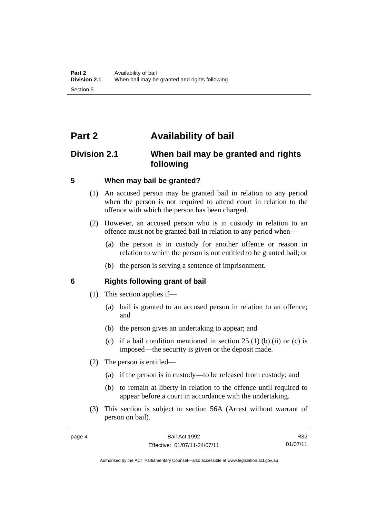# <span id="page-11-0"></span>**Part 2 Availability of bail**

## <span id="page-11-1"></span>**Division 2.1 When bail may be granted and rights following**

#### <span id="page-11-2"></span>**5 When may bail be granted?**

- (1) An accused person may be granted bail in relation to any period when the person is not required to attend court in relation to the offence with which the person has been charged.
- (2) However, an accused person who is in custody in relation to an offence must not be granted bail in relation to any period when—
	- (a) the person is in custody for another offence or reason in relation to which the person is not entitled to be granted bail; or
	- (b) the person is serving a sentence of imprisonment.

#### <span id="page-11-3"></span>**6 Rights following grant of bail**

- (1) This section applies if—
	- (a) bail is granted to an accused person in relation to an offence; and
	- (b) the person gives an undertaking to appear; and
	- (c) if a bail condition mentioned in section  $25(1)$  (b) (ii) or (c) is imposed—the security is given or the deposit made.
- (2) The person is entitled—
	- (a) if the person is in custody—to be released from custody; and
	- (b) to remain at liberty in relation to the offence until required to appear before a court in accordance with the undertaking.
- (3) This section is subject to section 56A (Arrest without warrant of person on bail).

R32 01/07/11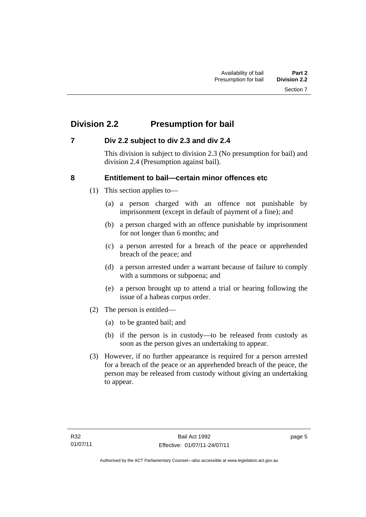# <span id="page-12-0"></span>**Division 2.2 Presumption for bail**

## <span id="page-12-1"></span>**7 Div 2.2 subject to div 2.3 and div 2.4**

This division is subject to division 2.3 (No presumption for bail) and division 2.4 (Presumption against bail).

## <span id="page-12-2"></span>**8 Entitlement to bail—certain minor offences etc**

- (1) This section applies to—
	- (a) a person charged with an offence not punishable by imprisonment (except in default of payment of a fine); and
	- (b) a person charged with an offence punishable by imprisonment for not longer than 6 months; and
	- (c) a person arrested for a breach of the peace or apprehended breach of the peace; and
	- (d) a person arrested under a warrant because of failure to comply with a summons or subpoena; and
	- (e) a person brought up to attend a trial or hearing following the issue of a habeas corpus order.
- (2) The person is entitled—
	- (a) to be granted bail; and
	- (b) if the person is in custody—to be released from custody as soon as the person gives an undertaking to appear.
- (3) However, if no further appearance is required for a person arrested for a breach of the peace or an apprehended breach of the peace, the person may be released from custody without giving an undertaking to appear.

page 5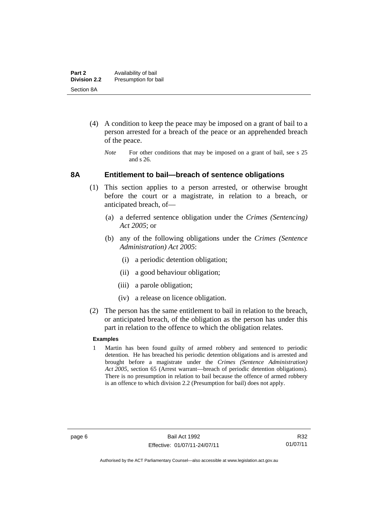- (4) A condition to keep the peace may be imposed on a grant of bail to a person arrested for a breach of the peace or an apprehended breach of the peace.
	- *Note* For other conditions that may be imposed on a grant of bail, see s 25 and s 26.

#### <span id="page-13-0"></span>**8A Entitlement to bail—breach of sentence obligations**

- (1) This section applies to a person arrested, or otherwise brought before the court or a magistrate, in relation to a breach, or anticipated breach, of—
	- (a) a deferred sentence obligation under the *Crimes (Sentencing) Act 2005*; or
	- (b) any of the following obligations under the *Crimes (Sentence Administration) Act 2005*:
		- (i) a periodic detention obligation;
		- (ii) a good behaviour obligation;
		- (iii) a parole obligation;
		- (iv) a release on licence obligation.
- (2) The person has the same entitlement to bail in relation to the breach, or anticipated breach, of the obligation as the person has under this part in relation to the offence to which the obligation relates.

#### **Examples**

1 Martin has been found guilty of armed robbery and sentenced to periodic detention. He has breached his periodic detention obligations and is arrested and brought before a magistrate under the *Crimes (Sentence Administration) Act 2005*, section 65 (Arrest warrant—breach of periodic detention obligations). There is no presumption in relation to bail because the offence of armed robbery is an offence to which division 2.2 (Presumption for bail) does not apply.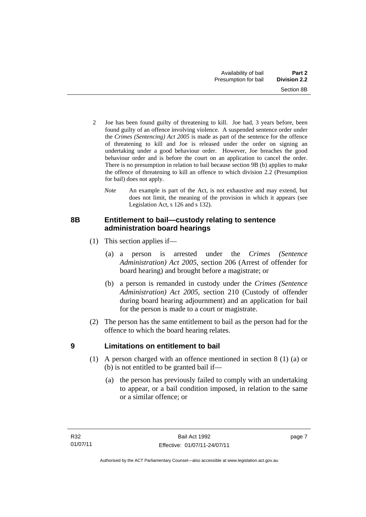- 2 Joe has been found guilty of threatening to kill. Joe had, 3 years before, been found guilty of an offence involving violence. A suspended sentence order under the *Crimes (Sentencing) Act 2005* is made as part of the sentence for the offence of threatening to kill and Joe is released under the order on signing an undertaking under a good behaviour order. However, Joe breaches the good behaviour order and is before the court on an application to cancel the order. There is no presumption in relation to bail because section 9B (b) applies to make the offence of threatening to kill an offence to which division 2.2 (Presumption for bail) does not apply.
	- *Note* An example is part of the Act, is not exhaustive and may extend, but does not limit, the meaning of the provision in which it appears (see Legislation Act, s 126 and s 132).

## <span id="page-14-0"></span>**8B Entitlement to bail—custody relating to sentence administration board hearings**

- (1) This section applies if—
	- (a) a person is arrested under the *Crimes (Sentence Administration) Act 2005*, section 206 (Arrest of offender for board hearing) and brought before a magistrate; or
	- (b) a person is remanded in custody under the *Crimes (Sentence Administration) Act 2005*, section 210 (Custody of offender during board hearing adjournment) and an application for bail for the person is made to a court or magistrate.
- (2) The person has the same entitlement to bail as the person had for the offence to which the board hearing relates.

## <span id="page-14-1"></span>**9 Limitations on entitlement to bail**

- (1) A person charged with an offence mentioned in section 8 (1) (a) or (b) is not entitled to be granted bail if—
	- (a) the person has previously failed to comply with an undertaking to appear, or a bail condition imposed, in relation to the same or a similar offence; or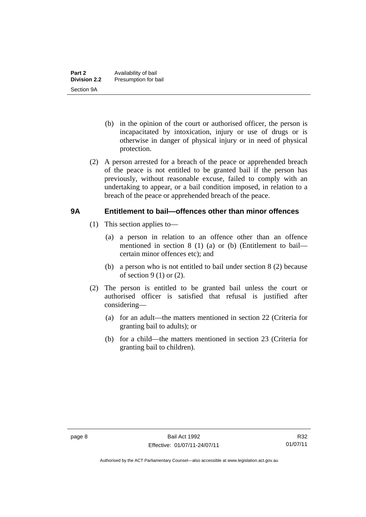- (b) in the opinion of the court or authorised officer, the person is incapacitated by intoxication, injury or use of drugs or is otherwise in danger of physical injury or in need of physical protection.
- (2) A person arrested for a breach of the peace or apprehended breach of the peace is not entitled to be granted bail if the person has previously, without reasonable excuse, failed to comply with an undertaking to appear, or a bail condition imposed, in relation to a breach of the peace or apprehended breach of the peace.

#### <span id="page-15-0"></span>**9A Entitlement to bail—offences other than minor offences**

- (1) This section applies to—
	- (a) a person in relation to an offence other than an offence mentioned in section 8 (1) (a) or (b) (Entitlement to bail certain minor offences etc); and
	- (b) a person who is not entitled to bail under section 8 (2) because of section  $9(1)$  or  $(2)$ .
- (2) The person is entitled to be granted bail unless the court or authorised officer is satisfied that refusal is justified after considering—
	- (a) for an adult—the matters mentioned in section 22 (Criteria for granting bail to adults); or
	- (b) for a child—the matters mentioned in section 23 (Criteria for granting bail to children).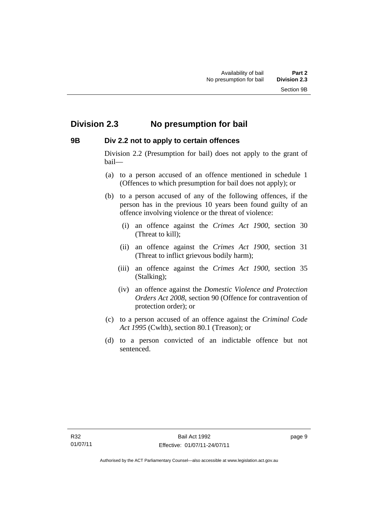## <span id="page-16-0"></span>**Division 2.3 No presumption for bail**

## <span id="page-16-1"></span>**9B Div 2.2 not to apply to certain offences**

Division 2.2 (Presumption for bail) does not apply to the grant of bail—

- (a) to a person accused of an offence mentioned in schedule 1 (Offences to which presumption for bail does not apply); or
- (b) to a person accused of any of the following offences, if the person has in the previous 10 years been found guilty of an offence involving violence or the threat of violence:
	- (i) an offence against the *Crimes Act 1900*, section 30 (Threat to kill);
	- (ii) an offence against the *Crimes Act 1900*, section 31 (Threat to inflict grievous bodily harm);
	- (iii) an offence against the *Crimes Act 1900*, section 35 (Stalking);
	- (iv) an offence against the *Domestic Violence and Protection Orders Act 2008*, section 90 (Offence for contravention of protection order); or
- (c) to a person accused of an offence against the *Criminal Code Act 1995* (Cwlth), section 80.1 (Treason); or
- (d) to a person convicted of an indictable offence but not sentenced.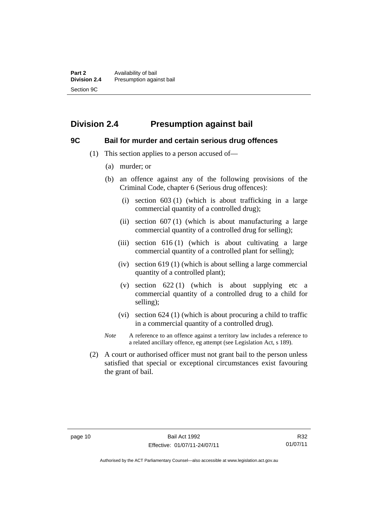## <span id="page-17-0"></span>**Division 2.4 Presumption against bail**

#### <span id="page-17-1"></span>**9C Bail for murder and certain serious drug offences**

- (1) This section applies to a person accused of—
	- (a) murder; or
	- (b) an offence against any of the following provisions of the Criminal Code, chapter 6 (Serious drug offences):
		- (i) section 603 (1) (which is about trafficking in a large commercial quantity of a controlled drug);
		- (ii) section  $607(1)$  (which is about manufacturing a large commercial quantity of a controlled drug for selling);
		- (iii) section  $616(1)$  (which is about cultivating a large commercial quantity of a controlled plant for selling);
		- (iv) section 619 (1) (which is about selling a large commercial quantity of a controlled plant);
		- (v) section  $622(1)$  (which is about supplying etc a commercial quantity of a controlled drug to a child for selling);
		- (vi) section 624 (1) (which is about procuring a child to traffic in a commercial quantity of a controlled drug).
	- *Note* A reference to an offence against a territory law includes a reference to a related ancillary offence, eg attempt (see Legislation Act, s 189).
- (2) A court or authorised officer must not grant bail to the person unless satisfied that special or exceptional circumstances exist favouring the grant of bail.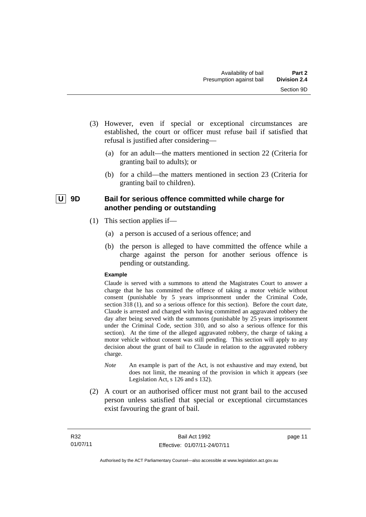- (3) However, even if special or exceptional circumstances are established, the court or officer must refuse bail if satisfied that refusal is justified after considering—
	- (a) for an adult—the matters mentioned in section 22 (Criteria for granting bail to adults); or
	- (b) for a child—the matters mentioned in section 23 (Criteria for granting bail to children).

## <span id="page-18-0"></span>| U | 9D Bail for serious offence committed while charge for **another pending or outstanding**

- (1) This section applies if—
	- (a) a person is accused of a serious offence; and
	- (b) the person is alleged to have committed the offence while a charge against the person for another serious offence is pending or outstanding.

#### **Example**

Claude is served with a summons to attend the Magistrates Court to answer a charge that he has committed the offence of taking a motor vehicle without consent (punishable by 5 years imprisonment under the Criminal Code, section 318 (1), and so a serious offence for this section). Before the court date, Claude is arrested and charged with having committed an aggravated robbery the day after being served with the summons (punishable by 25 years imprisonment under the Criminal Code, section 310, and so also a serious offence for this section). At the time of the alleged aggravated robbery, the charge of taking a motor vehicle without consent was still pending. This section will apply to any decision about the grant of bail to Claude in relation to the aggravated robbery charge.

- *Note* An example is part of the Act, is not exhaustive and may extend, but does not limit, the meaning of the provision in which it appears (see Legislation Act, s 126 and s 132).
- (2) A court or an authorised officer must not grant bail to the accused person unless satisfied that special or exceptional circumstances exist favouring the grant of bail.

page 11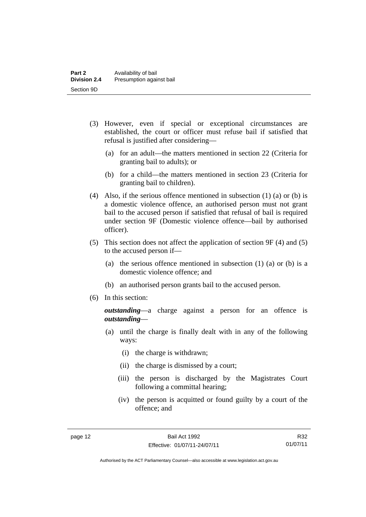- (3) However, even if special or exceptional circumstances are established, the court or officer must refuse bail if satisfied that refusal is justified after considering—
	- (a) for an adult—the matters mentioned in section 22 (Criteria for granting bail to adults); or
	- (b) for a child—the matters mentioned in section 23 (Criteria for granting bail to children).
- (4) Also, if the serious offence mentioned in subsection (1) (a) or (b) is a domestic violence offence, an authorised person must not grant bail to the accused person if satisfied that refusal of bail is required under section 9F (Domestic violence offence—bail by authorised officer).
- (5) This section does not affect the application of section 9F (4) and (5) to the accused person if—
	- (a) the serious offence mentioned in subsection (1) (a) or (b) is a domestic violence offence; and
	- (b) an authorised person grants bail to the accused person.
- (6) In this section:

*outstanding*—a charge against a person for an offence is *outstanding*—

- (a) until the charge is finally dealt with in any of the following ways:
	- (i) the charge is withdrawn;
	- (ii) the charge is dismissed by a court;
	- (iii) the person is discharged by the Magistrates Court following a committal hearing;
	- (iv) the person is acquitted or found guilty by a court of the offence; and

R32 01/07/11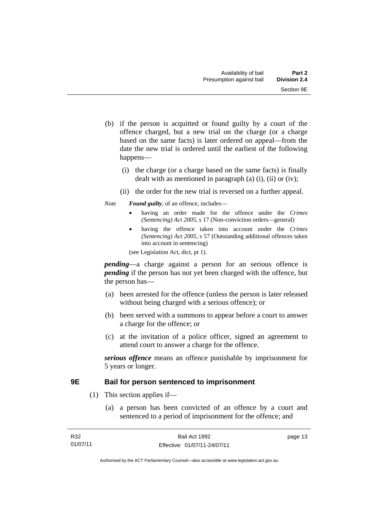- (b) if the person is acquitted or found guilty by a court of the offence charged, but a new trial on the charge (or a charge based on the same facts) is later ordered on appeal—from the date the new trial is ordered until the earliest of the following happens—
	- (i) the charge (or a charge based on the same facts) is finally dealt with as mentioned in paragraph (a)  $(i)$ ,  $(ii)$  or  $(iv)$ ;
	- (ii) the order for the new trial is reversed on a further appeal.

#### *Note Found guilty*, of an offence, includes—

- having an order made for the offence under the *Crimes (Sentencing) Act 2005*, s 17 (Non-conviction orders—general)
- having the offence taken into account under the *Crimes (Sentencing) Act 2005*, s 57 (Outstanding additional offences taken into account in sentencing)

(see Legislation Act, dict, pt 1).

*pending*—a charge against a person for an serious offence is *pending* if the person has not yet been charged with the offence, but the person has—

- (a) been arrested for the offence (unless the person is later released without being charged with a serious offence); or
- (b) been served with a summons to appear before a court to answer a charge for the offence; or
- (c) at the invitation of a police officer, signed an agreement to attend court to answer a charge for the offence.

*serious offence* means an offence punishable by imprisonment for 5 years or longer.

### <span id="page-20-0"></span>**9E Bail for person sentenced to imprisonment**

- (1) This section applies if—
	- (a) a person has been convicted of an offence by a court and sentenced to a period of imprisonment for the offence; and

page 13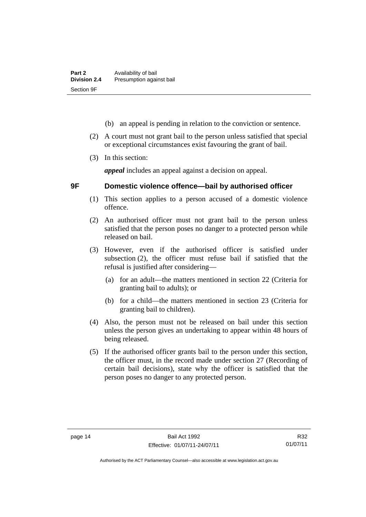- (b) an appeal is pending in relation to the conviction or sentence.
- (2) A court must not grant bail to the person unless satisfied that special or exceptional circumstances exist favouring the grant of bail.
- (3) In this section:

*appeal* includes an appeal against a decision on appeal.

## <span id="page-21-0"></span>**9F Domestic violence offence—bail by authorised officer**

- (1) This section applies to a person accused of a domestic violence offence.
- (2) An authorised officer must not grant bail to the person unless satisfied that the person poses no danger to a protected person while released on bail.
- (3) However, even if the authorised officer is satisfied under subsection (2), the officer must refuse bail if satisfied that the refusal is justified after considering—
	- (a) for an adult—the matters mentioned in section 22 (Criteria for granting bail to adults); or
	- (b) for a child—the matters mentioned in section 23 (Criteria for granting bail to children).
- (4) Also, the person must not be released on bail under this section unless the person gives an undertaking to appear within 48 hours of being released.
- (5) If the authorised officer grants bail to the person under this section, the officer must, in the record made under section 27 (Recording of certain bail decisions), state why the officer is satisfied that the person poses no danger to any protected person.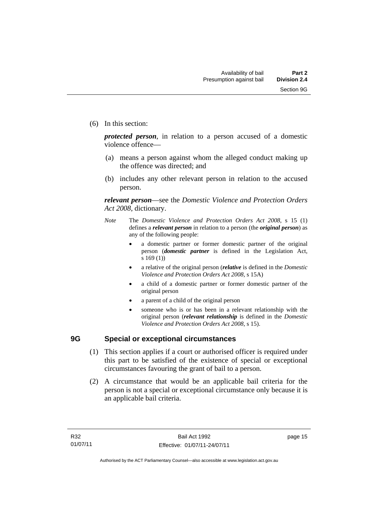(6) In this section:

*protected person*, in relation to a person accused of a domestic violence offence—

- (a) means a person against whom the alleged conduct making up the offence was directed; and
- (b) includes any other relevant person in relation to the accused person.

*relevant person*—see the *Domestic Violence and Protection Orders Act 2008*, dictionary.

- *Note* The *Domestic Violence and Protection Orders Act 2008*, s 15 (1) defines a *relevant person* in relation to a person (the *original person*) as any of the following people:
	- a domestic partner or former domestic partner of the original person (*domestic partner* is defined in the Legislation Act, s 169 (1))
	- a relative of the original person (*relative* is defined in the *Domestic Violence and Protection Orders Act 2008*, s 15A)
	- a child of a domestic partner or former domestic partner of the original person
	- a parent of a child of the original person
	- someone who is or has been in a relevant relationship with the original person (*relevant relationship* is defined in the *Domestic Violence and Protection Orders Act 2008*, s 15).

#### <span id="page-22-0"></span>**9G Special or exceptional circumstances**

- (1) This section applies if a court or authorised officer is required under this part to be satisfied of the existence of special or exceptional circumstances favouring the grant of bail to a person.
- (2) A circumstance that would be an applicable bail criteria for the person is not a special or exceptional circumstance only because it is an applicable bail criteria.

page 15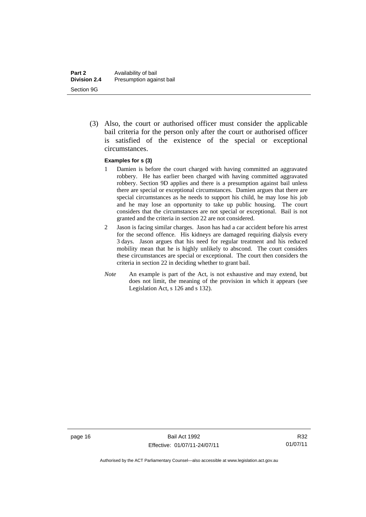(3) Also, the court or authorised officer must consider the applicable bail criteria for the person only after the court or authorised officer is satisfied of the existence of the special or exceptional circumstances.

#### **Examples for s (3)**

- 1 Damien is before the court charged with having committed an aggravated robbery. He has earlier been charged with having committed aggravated robbery. Section 9D applies and there is a presumption against bail unless there are special or exceptional circumstances. Damien argues that there are special circumstances as he needs to support his child, he may lose his job and he may lose an opportunity to take up public housing. The court considers that the circumstances are not special or exceptional. Bail is not granted and the criteria in section 22 are not considered.
- 2 Jason is facing similar charges. Jason has had a car accident before his arrest for the second offence. His kidneys are damaged requiring dialysis every 3 days. Jason argues that his need for regular treatment and his reduced mobility mean that he is highly unlikely to abscond. The court considers these circumstances are special or exceptional. The court then considers the criteria in section 22 in deciding whether to grant bail.
- *Note* An example is part of the Act, is not exhaustive and may extend, but does not limit, the meaning of the provision in which it appears (see Legislation Act, s 126 and s 132).

R32 01/07/11

Authorised by the ACT Parliamentary Counsel—also accessible at www.legislation.act.gov.au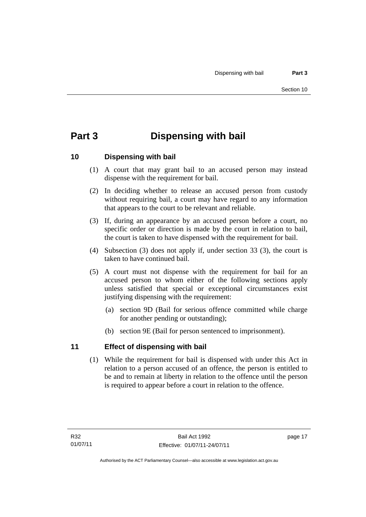# <span id="page-24-0"></span>**Part 3 Dispensing with bail**

## <span id="page-24-1"></span>**10 Dispensing with bail**

- (1) A court that may grant bail to an accused person may instead dispense with the requirement for bail.
- (2) In deciding whether to release an accused person from custody without requiring bail, a court may have regard to any information that appears to the court to be relevant and reliable.
- (3) If, during an appearance by an accused person before a court, no specific order or direction is made by the court in relation to bail, the court is taken to have dispensed with the requirement for bail.
- (4) Subsection (3) does not apply if, under section 33 (3), the court is taken to have continued bail.
- (5) A court must not dispense with the requirement for bail for an accused person to whom either of the following sections apply unless satisfied that special or exceptional circumstances exist justifying dispensing with the requirement:
	- (a) section 9D (Bail for serious offence committed while charge for another pending or outstanding);
	- (b) section 9E (Bail for person sentenced to imprisonment).

## <span id="page-24-2"></span>**11 Effect of dispensing with bail**

(1) While the requirement for bail is dispensed with under this Act in relation to a person accused of an offence, the person is entitled to be and to remain at liberty in relation to the offence until the person is required to appear before a court in relation to the offence.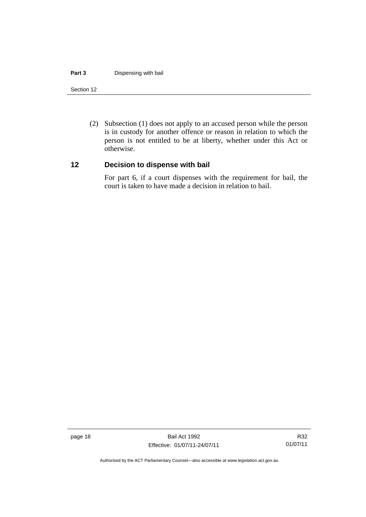#### **Part 3** Dispensing with bail

#### Section 12

 (2) Subsection (1) does not apply to an accused person while the person is in custody for another offence or reason in relation to which the person is not entitled to be at liberty, whether under this Act or otherwise.

#### <span id="page-25-0"></span>**12 Decision to dispense with bail**

For part 6, if a court dispenses with the requirement for bail, the court is taken to have made a decision in relation to bail.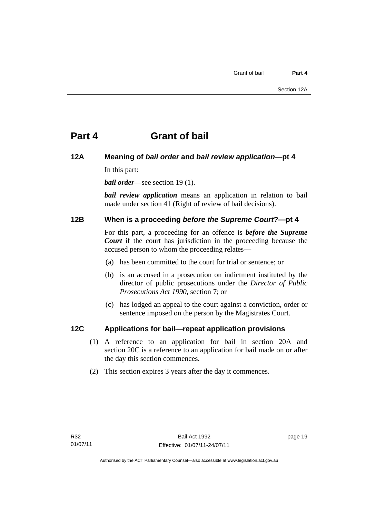# <span id="page-26-0"></span>**Part 4 Grant of bail**

## <span id="page-26-1"></span>**12A Meaning of** *bail order* **and** *bail review application***—pt 4**

In this part:

*bail order*—see section 19 (1).

*bail review application* means an application in relation to bail made under section 41 (Right of review of bail decisions).

## <span id="page-26-2"></span>**12B When is a proceeding** *before the Supreme Court***?—pt 4**

For this part, a proceeding for an offence is *before the Supreme Court* if the court has jurisdiction in the proceeding because the accused person to whom the proceeding relates—

- (a) has been committed to the court for trial or sentence; or
- (b) is an accused in a prosecution on indictment instituted by the director of public prosecutions under the *Director of Public Prosecutions Act 1990*, section 7; or
- (c) has lodged an appeal to the court against a conviction, order or sentence imposed on the person by the Magistrates Court.

## <span id="page-26-3"></span>**12C Applications for bail—repeat application provisions**

- (1) A reference to an application for bail in section 20A and section 20C is a reference to an application for bail made on or after the day this section commences.
- (2) This section expires 3 years after the day it commences.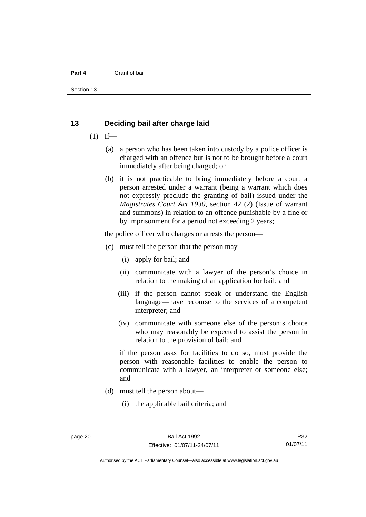#### **Part 4** Grant of bail

Section 13

#### <span id="page-27-0"></span>**13 Deciding bail after charge laid**

- $(1)$  If—
	- (a) a person who has been taken into custody by a police officer is charged with an offence but is not to be brought before a court immediately after being charged; or
	- (b) it is not practicable to bring immediately before a court a person arrested under a warrant (being a warrant which does not expressly preclude the granting of bail) issued under the *Magistrates Court Act 1930*, section 42 (2) (Issue of warrant and summons) in relation to an offence punishable by a fine or by imprisonment for a period not exceeding 2 years;

the police officer who charges or arrests the person—

- (c) must tell the person that the person may—
	- (i) apply for bail; and
	- (ii) communicate with a lawyer of the person's choice in relation to the making of an application for bail; and
	- (iii) if the person cannot speak or understand the English language—have recourse to the services of a competent interpreter; and
	- (iv) communicate with someone else of the person's choice who may reasonably be expected to assist the person in relation to the provision of bail; and

if the person asks for facilities to do so, must provide the person with reasonable facilities to enable the person to communicate with a lawyer, an interpreter or someone else; and

- (d) must tell the person about—
	- (i) the applicable bail criteria; and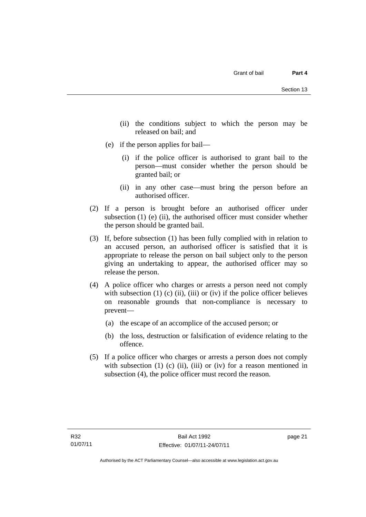- (ii) the conditions subject to which the person may be released on bail; and
- (e) if the person applies for bail—
	- (i) if the police officer is authorised to grant bail to the person—must consider whether the person should be granted bail; or
	- (ii) in any other case—must bring the person before an authorised officer.
- (2) If a person is brought before an authorised officer under subsection (1) (e) (ii), the authorised officer must consider whether the person should be granted bail.
- (3) If, before subsection (1) has been fully complied with in relation to an accused person, an authorised officer is satisfied that it is appropriate to release the person on bail subject only to the person giving an undertaking to appear, the authorised officer may so release the person.
- (4) A police officer who charges or arrests a person need not comply with subsection  $(1)$   $(c)$   $(ii)$ ,  $(iii)$  or  $(iv)$  if the police officer believes on reasonable grounds that non-compliance is necessary to prevent—
	- (a) the escape of an accomplice of the accused person; or
	- (b) the loss, destruction or falsification of evidence relating to the offence.
- (5) If a police officer who charges or arrests a person does not comply with subsection  $(1)$   $(c)$   $(ii)$ ,  $(iii)$  or  $(iv)$  for a reason mentioned in subsection (4), the police officer must record the reason.

page 21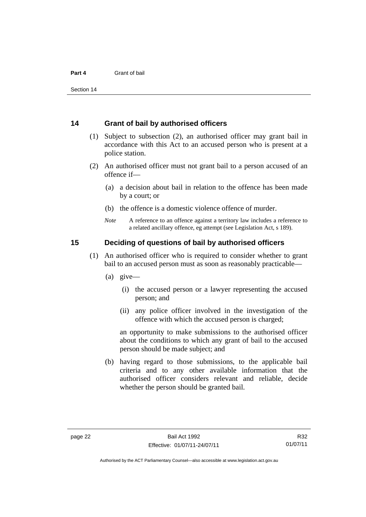#### <span id="page-29-0"></span>**14 Grant of bail by authorised officers**

- (1) Subject to subsection (2), an authorised officer may grant bail in accordance with this Act to an accused person who is present at a police station.
- (2) An authorised officer must not grant bail to a person accused of an offence if—
	- (a) a decision about bail in relation to the offence has been made by a court; or
	- (b) the offence is a domestic violence offence of murder.
	- *Note* A reference to an offence against a territory law includes a reference to a related ancillary offence, eg attempt (see Legislation Act, s 189).

#### <span id="page-29-1"></span>**15 Deciding of questions of bail by authorised officers**

- (1) An authorised officer who is required to consider whether to grant bail to an accused person must as soon as reasonably practicable—
	- (a) give—
		- (i) the accused person or a lawyer representing the accused person; and
		- (ii) any police officer involved in the investigation of the offence with which the accused person is charged;

an opportunity to make submissions to the authorised officer about the conditions to which any grant of bail to the accused person should be made subject; and

 (b) having regard to those submissions, to the applicable bail criteria and to any other available information that the authorised officer considers relevant and reliable, decide whether the person should be granted bail.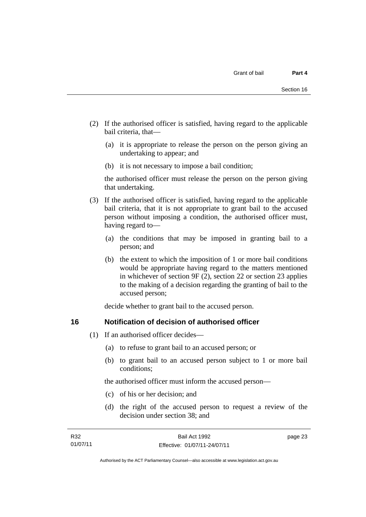- (2) If the authorised officer is satisfied, having regard to the applicable bail criteria, that—
	- (a) it is appropriate to release the person on the person giving an undertaking to appear; and
	- (b) it is not necessary to impose a bail condition;

the authorised officer must release the person on the person giving that undertaking.

- (3) If the authorised officer is satisfied, having regard to the applicable bail criteria, that it is not appropriate to grant bail to the accused person without imposing a condition, the authorised officer must, having regard to—
	- (a) the conditions that may be imposed in granting bail to a person; and
	- (b) the extent to which the imposition of 1 or more bail conditions would be appropriate having regard to the matters mentioned in whichever of section 9F (2), section 22 or section 23 applies to the making of a decision regarding the granting of bail to the accused person;

decide whether to grant bail to the accused person.

#### <span id="page-30-0"></span>**16 Notification of decision of authorised officer**

- (1) If an authorised officer decides—
	- (a) to refuse to grant bail to an accused person; or
	- (b) to grant bail to an accused person subject to 1 or more bail conditions;

the authorised officer must inform the accused person—

- (c) of his or her decision; and
- (d) the right of the accused person to request a review of the decision under section 38; and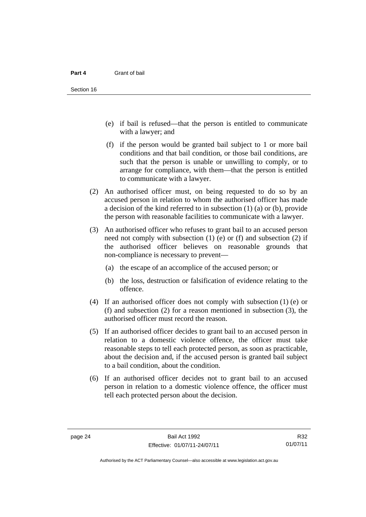- (e) if bail is refused—that the person is entitled to communicate with a lawyer; and
- (f) if the person would be granted bail subject to 1 or more bail conditions and that bail condition, or those bail conditions, are such that the person is unable or unwilling to comply, or to arrange for compliance, with them—that the person is entitled to communicate with a lawyer.
- (2) An authorised officer must, on being requested to do so by an accused person in relation to whom the authorised officer has made a decision of the kind referred to in subsection (1) (a) or (b), provide the person with reasonable facilities to communicate with a lawyer.
- (3) An authorised officer who refuses to grant bail to an accused person need not comply with subsection (1) (e) or (f) and subsection (2) if the authorised officer believes on reasonable grounds that non-compliance is necessary to prevent—
	- (a) the escape of an accomplice of the accused person; or
	- (b) the loss, destruction or falsification of evidence relating to the offence.
- (4) If an authorised officer does not comply with subsection (1) (e) or (f) and subsection (2) for a reason mentioned in subsection (3), the authorised officer must record the reason.
- (5) If an authorised officer decides to grant bail to an accused person in relation to a domestic violence offence, the officer must take reasonable steps to tell each protected person, as soon as practicable, about the decision and, if the accused person is granted bail subject to a bail condition, about the condition.
- (6) If an authorised officer decides not to grant bail to an accused person in relation to a domestic violence offence, the officer must tell each protected person about the decision.

R32 01/07/11

Authorised by the ACT Parliamentary Counsel—also accessible at www.legislation.act.gov.au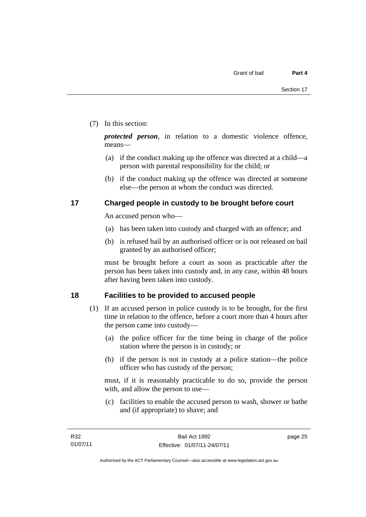#### (7) In this section:

*protected person*, in relation to a domestic violence offence, means—

- (a) if the conduct making up the offence was directed at a child—a person with parental responsibility for the child; or
- (b) if the conduct making up the offence was directed at someone else—the person at whom the conduct was directed.

## <span id="page-32-0"></span>**17 Charged people in custody to be brought before court**

An accused person who—

- (a) has been taken into custody and charged with an offence; and
- (b) is refused bail by an authorised officer or is not released on bail granted by an authorised officer;

must be brought before a court as soon as practicable after the person has been taken into custody and, in any case, within 48 hours after having been taken into custody.

## <span id="page-32-1"></span>**18 Facilities to be provided to accused people**

- (1) If an accused person in police custody is to be brought, for the first time in relation to the offence, before a court more than 4 hours after the person came into custody—
	- (a) the police officer for the time being in charge of the police station where the person is in custody; or
	- (b) if the person is not in custody at a police station—the police officer who has custody of the person;

must, if it is reasonably practicable to do so, provide the person with, and allow the person to use—

 (c) facilities to enable the accused person to wash, shower or bathe and (if appropriate) to shave; and

page 25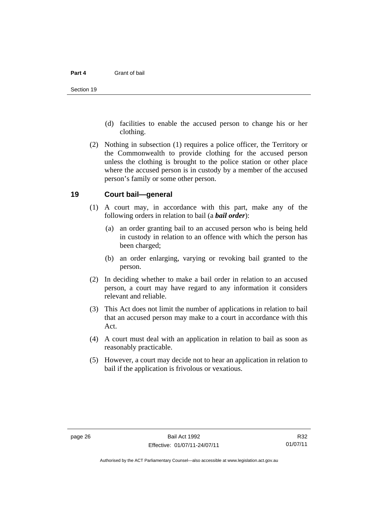- (d) facilities to enable the accused person to change his or her clothing.
- (2) Nothing in subsection (1) requires a police officer, the Territory or the Commonwealth to provide clothing for the accused person unless the clothing is brought to the police station or other place where the accused person is in custody by a member of the accused person's family or some other person.

#### <span id="page-33-0"></span>**19 Court bail—general**

- (1) A court may, in accordance with this part, make any of the following orders in relation to bail (a *bail order*):
	- (a) an order granting bail to an accused person who is being held in custody in relation to an offence with which the person has been charged;
	- (b) an order enlarging, varying or revoking bail granted to the person.
- (2) In deciding whether to make a bail order in relation to an accused person, a court may have regard to any information it considers relevant and reliable.
- (3) This Act does not limit the number of applications in relation to bail that an accused person may make to a court in accordance with this Act.
- (4) A court must deal with an application in relation to bail as soon as reasonably practicable.
- (5) However, a court may decide not to hear an application in relation to bail if the application is frivolous or vexatious.

Authorised by the ACT Parliamentary Counsel—also accessible at www.legislation.act.gov.au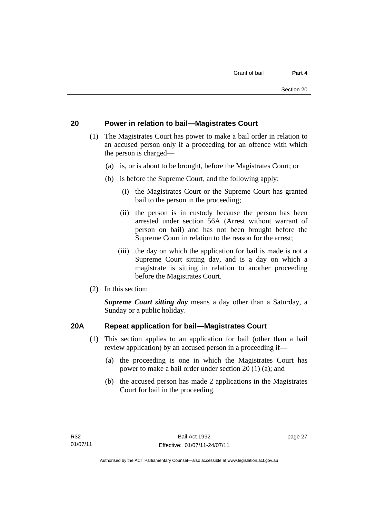## <span id="page-34-0"></span>**20 Power in relation to bail—Magistrates Court**

- (1) The Magistrates Court has power to make a bail order in relation to an accused person only if a proceeding for an offence with which the person is charged—
	- (a) is, or is about to be brought, before the Magistrates Court; or
	- (b) is before the Supreme Court, and the following apply:
		- (i) the Magistrates Court or the Supreme Court has granted bail to the person in the proceeding;
		- (ii) the person is in custody because the person has been arrested under section 56A (Arrest without warrant of person on bail) and has not been brought before the Supreme Court in relation to the reason for the arrest;
		- (iii) the day on which the application for bail is made is not a Supreme Court sitting day, and is a day on which a magistrate is sitting in relation to another proceeding before the Magistrates Court.
- (2) In this section:

*Supreme Court sitting day* means a day other than a Saturday, a Sunday or a public holiday.

## <span id="page-34-1"></span>**20A Repeat application for bail—Magistrates Court**

- (1) This section applies to an application for bail (other than a bail review application) by an accused person in a proceeding if—
	- (a) the proceeding is one in which the Magistrates Court has power to make a bail order under section 20 (1) (a); and
	- (b) the accused person has made 2 applications in the Magistrates Court for bail in the proceeding.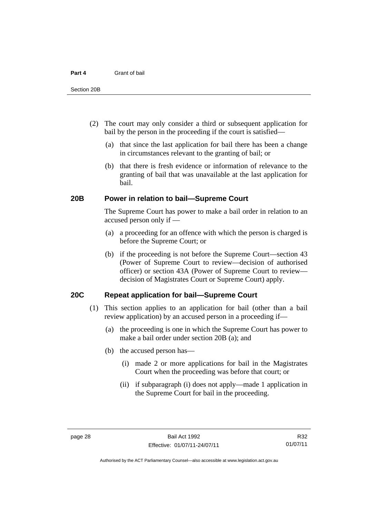- (2) The court may only consider a third or subsequent application for bail by the person in the proceeding if the court is satisfied—
	- (a) that since the last application for bail there has been a change in circumstances relevant to the granting of bail; or
	- (b) that there is fresh evidence or information of relevance to the granting of bail that was unavailable at the last application for bail.

#### <span id="page-35-0"></span>**20B Power in relation to bail—Supreme Court**

 The Supreme Court has power to make a bail order in relation to an accused person only if —

- (a) a proceeding for an offence with which the person is charged is before the Supreme Court; or
- (b) if the proceeding is not before the Supreme Court—section 43 (Power of Supreme Court to review—decision of authorised officer) or section 43A (Power of Supreme Court to review decision of Magistrates Court or Supreme Court) apply.

#### <span id="page-35-1"></span>**20C Repeat application for bail—Supreme Court**

- (1) This section applies to an application for bail (other than a bail review application) by an accused person in a proceeding if—
	- (a) the proceeding is one in which the Supreme Court has power to make a bail order under section 20B (a); and
	- (b) the accused person has—
		- (i) made 2 or more applications for bail in the Magistrates Court when the proceeding was before that court; or
		- (ii) if subparagraph (i) does not apply—made 1 application in the Supreme Court for bail in the proceeding.

R32 01/07/11

Authorised by the ACT Parliamentary Counsel—also accessible at www.legislation.act.gov.au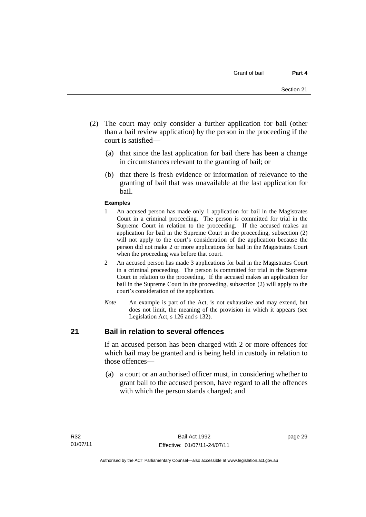- (2) The court may only consider a further application for bail (other than a bail review application) by the person in the proceeding if the court is satisfied—
	- (a) that since the last application for bail there has been a change in circumstances relevant to the granting of bail; or
	- (b) that there is fresh evidence or information of relevance to the granting of bail that was unavailable at the last application for bail.

#### **Examples**

- 1 An accused person has made only 1 application for bail in the Magistrates Court in a criminal proceeding. The person is committed for trial in the Supreme Court in relation to the proceeding. If the accused makes an application for bail in the Supreme Court in the proceeding, subsection (2) will not apply to the court's consideration of the application because the person did not make 2 or more applications for bail in the Magistrates Court when the proceeding was before that court.
- 2 An accused person has made 3 applications for bail in the Magistrates Court in a criminal proceeding. The person is committed for trial in the Supreme Court in relation to the proceeding. If the accused makes an application for bail in the Supreme Court in the proceeding, subsection (2) will apply to the court's consideration of the application.
- *Note* An example is part of the Act, is not exhaustive and may extend, but does not limit, the meaning of the provision in which it appears (see Legislation Act, s 126 and s 132).

#### **21 Bail in relation to several offences**

If an accused person has been charged with 2 or more offences for which bail may be granted and is being held in custody in relation to those offences—

 (a) a court or an authorised officer must, in considering whether to grant bail to the accused person, have regard to all the offences with which the person stands charged; and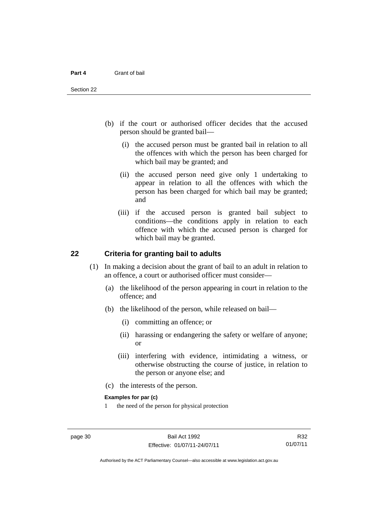- (b) if the court or authorised officer decides that the accused person should be granted bail—
	- (i) the accused person must be granted bail in relation to all the offences with which the person has been charged for which bail may be granted; and
	- (ii) the accused person need give only 1 undertaking to appear in relation to all the offences with which the person has been charged for which bail may be granted; and
	- (iii) if the accused person is granted bail subject to conditions—the conditions apply in relation to each offence with which the accused person is charged for which bail may be granted.

#### **22 Criteria for granting bail to adults**

- (1) In making a decision about the grant of bail to an adult in relation to an offence, a court or authorised officer must consider—
	- (a) the likelihood of the person appearing in court in relation to the offence; and
	- (b) the likelihood of the person, while released on bail—
		- (i) committing an offence; or
		- (ii) harassing or endangering the safety or welfare of anyone; or
		- (iii) interfering with evidence, intimidating a witness, or otherwise obstructing the course of justice, in relation to the person or anyone else; and
	- (c) the interests of the person.

#### **Examples for par (c)**

1 the need of the person for physical protection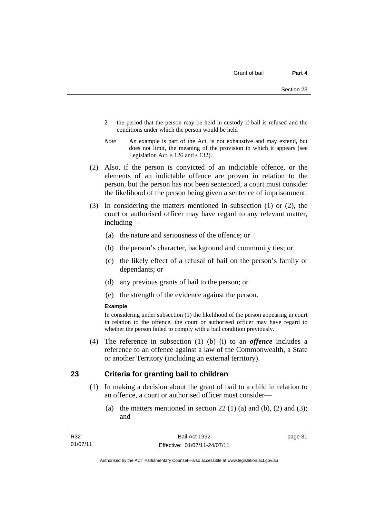- 2 the period that the person may be held in custody if bail is refused and the conditions under which the person would be held
- *Note* An example is part of the Act, is not exhaustive and may extend, but does not limit, the meaning of the provision in which it appears (see Legislation Act, s 126 and s 132).
- (2) Also, if the person is convicted of an indictable offence, or the elements of an indictable offence are proven in relation to the person, but the person has not been sentenced, a court must consider the likelihood of the person being given a sentence of imprisonment.
- (3) In considering the matters mentioned in subsection (1) or (2), the court or authorised officer may have regard to any relevant matter, including—
	- (a) the nature and seriousness of the offence; or
	- (b) the person's character, background and community ties; or
	- (c) the likely effect of a refusal of bail on the person's family or dependants; or
	- (d) any previous grants of bail to the person; or
	- (e) the strength of the evidence against the person.

#### **Example**

In considering under subsection (1) the likelihood of the person appearing in court in relation to the offence, the court or authorised officer may have regard to whether the person failed to comply with a bail condition previously.

 (4) The reference in subsection (1) (b) (i) to an *offence* includes a reference to an offence against a law of the Commonwealth, a State or another Territory (including an external territory).

#### **23 Criteria for granting bail to children**

- (1) In making a decision about the grant of bail to a child in relation to an offence, a court or authorised officer must consider—
	- (a) the matters mentioned in section  $22(1)$  (a) and (b), (2) and (3); and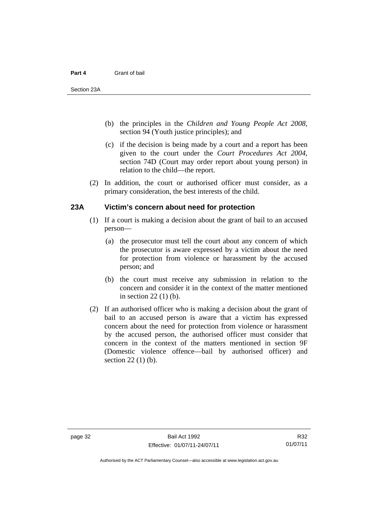- (b) the principles in the *Children and Young People Act 2008*, section 94 (Youth justice principles); and
- (c) if the decision is being made by a court and a report has been given to the court under the *Court Procedures Act 2004*, section 74D (Court may order report about young person) in relation to the child—the report.
- (2) In addition, the court or authorised officer must consider, as a primary consideration, the best interests of the child.

#### **23A Victim's concern about need for protection**

- (1) If a court is making a decision about the grant of bail to an accused person—
	- (a) the prosecutor must tell the court about any concern of which the prosecutor is aware expressed by a victim about the need for protection from violence or harassment by the accused person; and
	- (b) the court must receive any submission in relation to the concern and consider it in the context of the matter mentioned in section 22 (1) (b).
- (2) If an authorised officer who is making a decision about the grant of bail to an accused person is aware that a victim has expressed concern about the need for protection from violence or harassment by the accused person, the authorised officer must consider that concern in the context of the matters mentioned in section 9F (Domestic violence offence—bail by authorised officer) and section 22 (1) (b).

Authorised by the ACT Parliamentary Counsel—also accessible at www.legislation.act.gov.au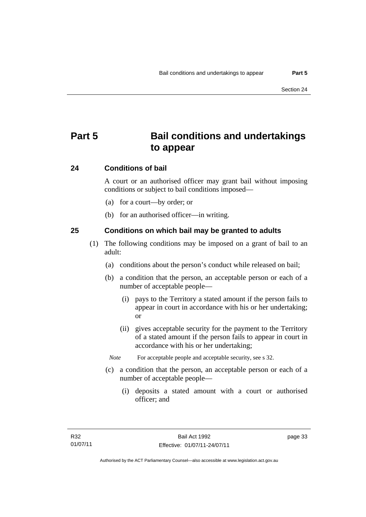# **Part 5 Bail conditions and undertakings to appear**

## **24 Conditions of bail**

A court or an authorised officer may grant bail without imposing conditions or subject to bail conditions imposed—

- (a) for a court—by order; or
- (b) for an authorised officer—in writing.

#### **25 Conditions on which bail may be granted to adults**

- (1) The following conditions may be imposed on a grant of bail to an adult:
	- (a) conditions about the person's conduct while released on bail;
	- (b) a condition that the person, an acceptable person or each of a number of acceptable people—
		- (i) pays to the Territory a stated amount if the person fails to appear in court in accordance with his or her undertaking; or
		- (ii) gives acceptable security for the payment to the Territory of a stated amount if the person fails to appear in court in accordance with his or her undertaking;
		- *Note* For acceptable people and acceptable security, see s 32.
	- (c) a condition that the person, an acceptable person or each of a number of acceptable people—
		- (i) deposits a stated amount with a court or authorised officer; and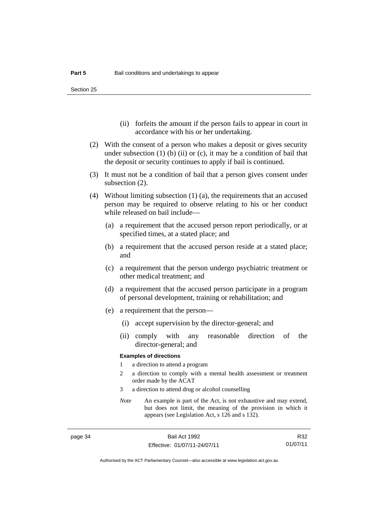- (ii) forfeits the amount if the person fails to appear in court in accordance with his or her undertaking.
- (2) With the consent of a person who makes a deposit or gives security under subsection  $(1)$  (b)  $(ii)$  or  $(c)$ , it may be a condition of bail that the deposit or security continues to apply if bail is continued.
- (3) It must not be a condition of bail that a person gives consent under subsection (2).
- (4) Without limiting subsection (1) (a), the requirements that an accused person may be required to observe relating to his or her conduct while released on bail include—
	- (a) a requirement that the accused person report periodically, or at specified times, at a stated place; and
	- (b) a requirement that the accused person reside at a stated place; and
	- (c) a requirement that the person undergo psychiatric treatment or other medical treatment; and
	- (d) a requirement that the accused person participate in a program of personal development, training or rehabilitation; and
	- (e) a requirement that the person—
		- (i) accept supervision by the director-general; and
		- (ii) comply with any reasonable direction of the director-general; and

#### **Examples of directions**

- 1 a direction to attend a program
- 2 a direction to comply with a mental health assessment or treatment order made by the ACAT
- 3 a direction to attend drug or alcohol counselling
- *Note* An example is part of the Act, is not exhaustive and may extend, but does not limit, the meaning of the provision in which it appears (see Legislation Act, s 126 and s 132).

R32 01/07/11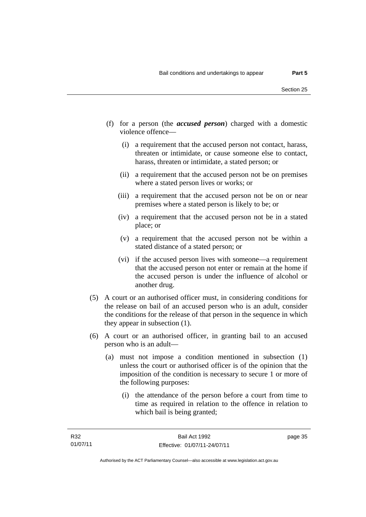- (f) for a person (the *accused person*) charged with a domestic violence offence—
	- (i) a requirement that the accused person not contact, harass, threaten or intimidate, or cause someone else to contact, harass, threaten or intimidate, a stated person; or
	- (ii) a requirement that the accused person not be on premises where a stated person lives or works; or
	- (iii) a requirement that the accused person not be on or near premises where a stated person is likely to be; or
	- (iv) a requirement that the accused person not be in a stated place; or
	- (v) a requirement that the accused person not be within a stated distance of a stated person; or
	- (vi) if the accused person lives with someone—a requirement that the accused person not enter or remain at the home if the accused person is under the influence of alcohol or another drug.
- (5) A court or an authorised officer must, in considering conditions for the release on bail of an accused person who is an adult, consider the conditions for the release of that person in the sequence in which they appear in subsection (1).
- (6) A court or an authorised officer, in granting bail to an accused person who is an adult—
	- (a) must not impose a condition mentioned in subsection (1) unless the court or authorised officer is of the opinion that the imposition of the condition is necessary to secure 1 or more of the following purposes:
		- (i) the attendance of the person before a court from time to time as required in relation to the offence in relation to which bail is being granted;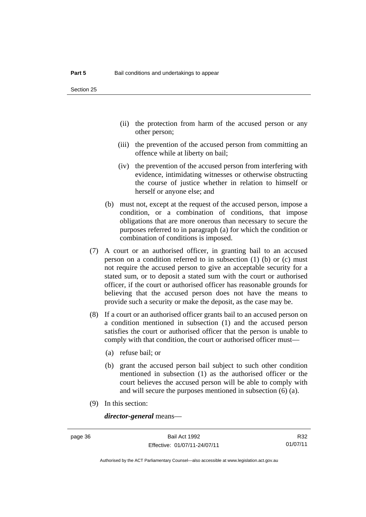- (ii) the protection from harm of the accused person or any other person;
- (iii) the prevention of the accused person from committing an offence while at liberty on bail;
- (iv) the prevention of the accused person from interfering with evidence, intimidating witnesses or otherwise obstructing the course of justice whether in relation to himself or herself or anyone else; and
- (b) must not, except at the request of the accused person, impose a condition, or a combination of conditions, that impose obligations that are more onerous than necessary to secure the purposes referred to in paragraph (a) for which the condition or combination of conditions is imposed.
- (7) A court or an authorised officer, in granting bail to an accused person on a condition referred to in subsection (1) (b) or (c) must not require the accused person to give an acceptable security for a stated sum, or to deposit a stated sum with the court or authorised officer, if the court or authorised officer has reasonable grounds for believing that the accused person does not have the means to provide such a security or make the deposit, as the case may be.
- (8) If a court or an authorised officer grants bail to an accused person on a condition mentioned in subsection (1) and the accused person satisfies the court or authorised officer that the person is unable to comply with that condition, the court or authorised officer must—
	- (a) refuse bail; or
	- (b) grant the accused person bail subject to such other condition mentioned in subsection (1) as the authorised officer or the court believes the accused person will be able to comply with and will secure the purposes mentioned in subsection (6) (a).
- (9) In this section:

*director-general* means—

R32 01/07/11

Authorised by the ACT Parliamentary Counsel—also accessible at www.legislation.act.gov.au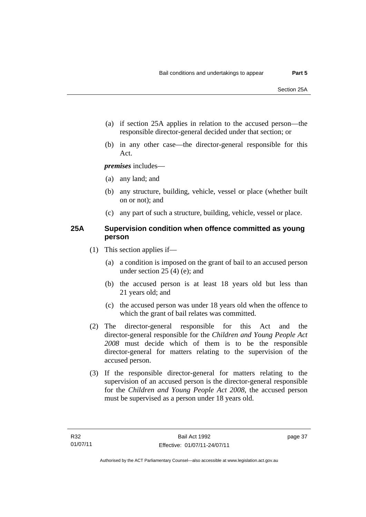- (a) if section 25A applies in relation to the accused person—the responsible director-general decided under that section; or
- (b) in any other case—the director-general responsible for this Act.

*premises* includes—

- (a) any land; and
- (b) any structure, building, vehicle, vessel or place (whether built on or not); and
- (c) any part of such a structure, building, vehicle, vessel or place.

#### **25A Supervision condition when offence committed as young person**

- (1) This section applies if—
	- (a) a condition is imposed on the grant of bail to an accused person under section 25 (4) (e); and
	- (b) the accused person is at least 18 years old but less than 21 years old; and
	- (c) the accused person was under 18 years old when the offence to which the grant of bail relates was committed.
- (2) The director-general responsible for this Act and the director-general responsible for the *Children and Young People Act 2008* must decide which of them is to be the responsible director-general for matters relating to the supervision of the accused person.
- (3) If the responsible director-general for matters relating to the supervision of an accused person is the director-general responsible for the *Children and Young People Act 2008*, the accused person must be supervised as a person under 18 years old.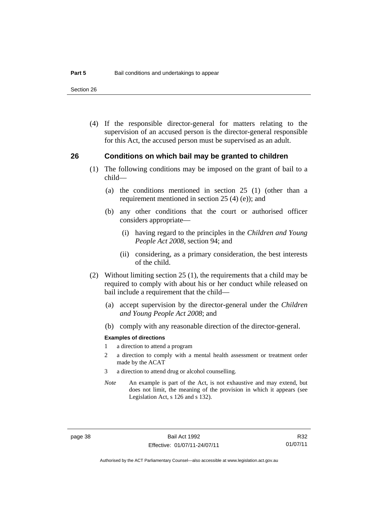Section 26

 (4) If the responsible director-general for matters relating to the supervision of an accused person is the director-general responsible for this Act, the accused person must be supervised as an adult.

#### **26 Conditions on which bail may be granted to children**

- (1) The following conditions may be imposed on the grant of bail to a child—
	- (a) the conditions mentioned in section 25 (1) (other than a requirement mentioned in section 25 (4) (e)); and
	- (b) any other conditions that the court or authorised officer considers appropriate—
		- (i) having regard to the principles in the *Children and Young People Act 2008*, section 94; and
		- (ii) considering, as a primary consideration, the best interests of the child.
- (2) Without limiting section 25 (1), the requirements that a child may be required to comply with about his or her conduct while released on bail include a requirement that the child—
	- (a) accept supervision by the director-general under the *Children and Young People Act 2008*; and
	- (b) comply with any reasonable direction of the director-general.

#### **Examples of directions**

- 1 a direction to attend a program
- 2 a direction to comply with a mental health assessment or treatment order made by the ACAT
- 3 a direction to attend drug or alcohol counselling.
- *Note* An example is part of the Act, is not exhaustive and may extend, but does not limit, the meaning of the provision in which it appears (see Legislation Act, s 126 and s 132).

R32 01/07/11

Authorised by the ACT Parliamentary Counsel—also accessible at www.legislation.act.gov.au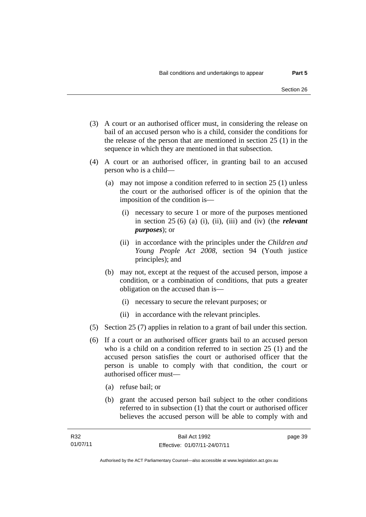- (3) A court or an authorised officer must, in considering the release on bail of an accused person who is a child, consider the conditions for the release of the person that are mentioned in section 25 (1) in the sequence in which they are mentioned in that subsection.
- (4) A court or an authorised officer, in granting bail to an accused person who is a child—
	- (a) may not impose a condition referred to in section 25 (1) unless the court or the authorised officer is of the opinion that the imposition of the condition is—
		- (i) necessary to secure 1 or more of the purposes mentioned in section 25 (6) (a) (i), (ii), (iii) and (iv) (the *relevant purposes*); or
		- (ii) in accordance with the principles under the *Children and Young People Act 2008*, section 94 (Youth justice principles); and
	- (b) may not, except at the request of the accused person, impose a condition, or a combination of conditions, that puts a greater obligation on the accused than is—
		- (i) necessary to secure the relevant purposes; or
		- (ii) in accordance with the relevant principles.
- (5) Section 25 (7) applies in relation to a grant of bail under this section.
- (6) If a court or an authorised officer grants bail to an accused person who is a child on a condition referred to in section 25 (1) and the accused person satisfies the court or authorised officer that the person is unable to comply with that condition, the court or authorised officer must—
	- (a) refuse bail; or
	- (b) grant the accused person bail subject to the other conditions referred to in subsection (1) that the court or authorised officer believes the accused person will be able to comply with and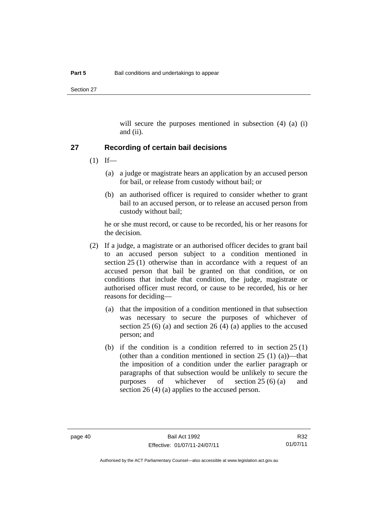Section 27

will secure the purposes mentioned in subsection (4) (a) (i) and (ii).

#### **27 Recording of certain bail decisions**

- $(1)$  If—
	- (a) a judge or magistrate hears an application by an accused person for bail, or release from custody without bail; or
	- (b) an authorised officer is required to consider whether to grant bail to an accused person, or to release an accused person from custody without bail;

he or she must record, or cause to be recorded, his or her reasons for the decision.

- (2) If a judge, a magistrate or an authorised officer decides to grant bail to an accused person subject to a condition mentioned in section 25 (1) otherwise than in accordance with a request of an accused person that bail be granted on that condition, or on conditions that include that condition, the judge, magistrate or authorised officer must record, or cause to be recorded, his or her reasons for deciding—
	- (a) that the imposition of a condition mentioned in that subsection was necessary to secure the purposes of whichever of section 25 (6) (a) and section 26 (4) (a) applies to the accused person; and
	- (b) if the condition is a condition referred to in section  $25(1)$ (other than a condition mentioned in section  $25(1)(a)$ )—that the imposition of a condition under the earlier paragraph or paragraphs of that subsection would be unlikely to secure the purposes of whichever of section 25 (6) (a) and section 26 (4) (a) applies to the accused person.

R32 01/07/11

Authorised by the ACT Parliamentary Counsel—also accessible at www.legislation.act.gov.au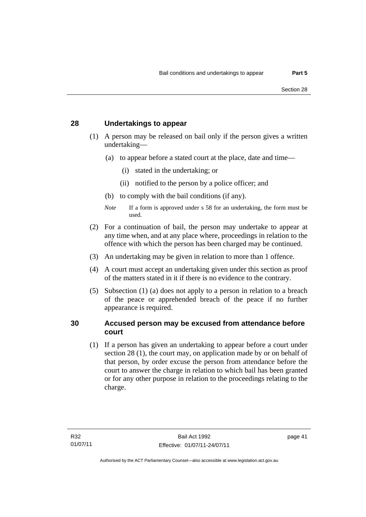#### **28 Undertakings to appear**

- (1) A person may be released on bail only if the person gives a written undertaking—
	- (a) to appear before a stated court at the place, date and time—
		- (i) stated in the undertaking; or
		- (ii) notified to the person by a police officer; and
	- (b) to comply with the bail conditions (if any).
	- *Note* If a form is approved under s 58 for an undertaking, the form must be used.
- (2) For a continuation of bail, the person may undertake to appear at any time when, and at any place where, proceedings in relation to the offence with which the person has been charged may be continued.
- (3) An undertaking may be given in relation to more than 1 offence.
- (4) A court must accept an undertaking given under this section as proof of the matters stated in it if there is no evidence to the contrary.
- (5) Subsection (1) (a) does not apply to a person in relation to a breach of the peace or apprehended breach of the peace if no further appearance is required.

#### **30 Accused person may be excused from attendance before court**

(1) If a person has given an undertaking to appear before a court under section 28 (1), the court may, on application made by or on behalf of that person, by order excuse the person from attendance before the court to answer the charge in relation to which bail has been granted or for any other purpose in relation to the proceedings relating to the charge.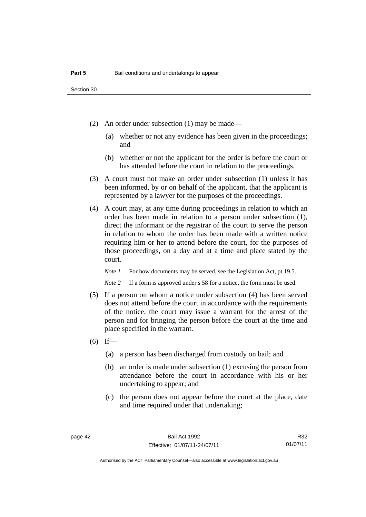- (2) An order under subsection (1) may be made—
	- (a) whether or not any evidence has been given in the proceedings; and
	- (b) whether or not the applicant for the order is before the court or has attended before the court in relation to the proceedings.
- (3) A court must not make an order under subsection (1) unless it has been informed, by or on behalf of the applicant, that the applicant is represented by a lawyer for the purposes of the proceedings.
- (4) A court may, at any time during proceedings in relation to which an order has been made in relation to a person under subsection (1), direct the informant or the registrar of the court to serve the person in relation to whom the order has been made with a written notice requiring him or her to attend before the court, for the purposes of those proceedings, on a day and at a time and place stated by the court.

*Note 1* For how documents may be served, see the Legislation Act, pt 19.5.

*Note* 2 If a form is approved under s 58 for a notice, the form must be used.

- (5) If a person on whom a notice under subsection (4) has been served does not attend before the court in accordance with the requirements of the notice, the court may issue a warrant for the arrest of the person and for bringing the person before the court at the time and place specified in the warrant.
- $(6)$  If—
	- (a) a person has been discharged from custody on bail; and
	- (b) an order is made under subsection (1) excusing the person from attendance before the court in accordance with his or her undertaking to appear; and
	- (c) the person does not appear before the court at the place, date and time required under that undertaking;

R32 01/07/11

Authorised by the ACT Parliamentary Counsel—also accessible at www.legislation.act.gov.au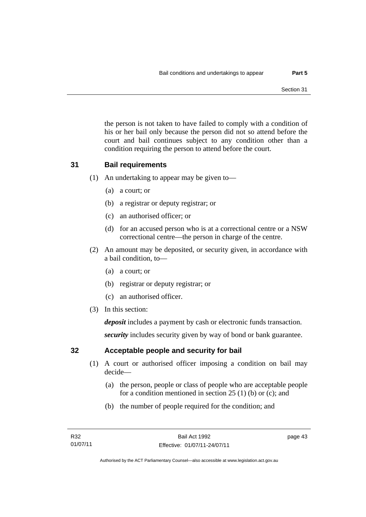the person is not taken to have failed to comply with a condition of his or her bail only because the person did not so attend before the court and bail continues subject to any condition other than a condition requiring the person to attend before the court.

## **31 Bail requirements**

- (1) An undertaking to appear may be given to—
	- (a) a court; or
	- (b) a registrar or deputy registrar; or
	- (c) an authorised officer; or
	- (d) for an accused person who is at a correctional centre or a NSW correctional centre—the person in charge of the centre.
- (2) An amount may be deposited, or security given, in accordance with a bail condition, to—
	- (a) a court; or
	- (b) registrar or deputy registrar; or
	- (c) an authorised officer.
- (3) In this section:

*deposit* includes a payment by cash or electronic funds transaction.

*security* includes security given by way of bond or bank guarantee.

## **32 Acceptable people and security for bail**

- (1) A court or authorised officer imposing a condition on bail may decide—
	- (a) the person, people or class of people who are acceptable people for a condition mentioned in section 25 (1) (b) or (c); and
	- (b) the number of people required for the condition; and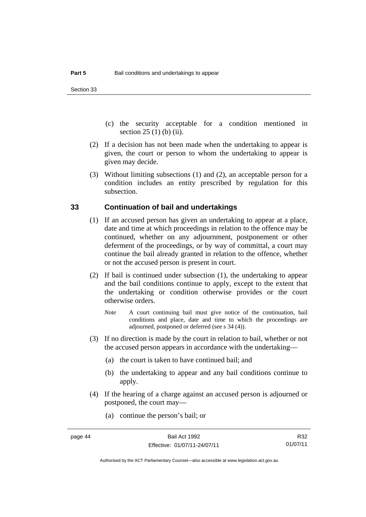- (c) the security acceptable for a condition mentioned in section 25 (1) (b) (ii).
- (2) If a decision has not been made when the undertaking to appear is given, the court or person to whom the undertaking to appear is given may decide.
- (3) Without limiting subsections (1) and (2), an acceptable person for a condition includes an entity prescribed by regulation for this subsection.

#### **33 Continuation of bail and undertakings**

- (1) If an accused person has given an undertaking to appear at a place, date and time at which proceedings in relation to the offence may be continued, whether on any adjournment, postponement or other deferment of the proceedings, or by way of committal, a court may continue the bail already granted in relation to the offence, whether or not the accused person is present in court.
- (2) If bail is continued under subsection (1), the undertaking to appear and the bail conditions continue to apply, except to the extent that the undertaking or condition otherwise provides or the court otherwise orders.
	- *Note* A court continuing bail must give notice of the continuation, bail conditions and place, date and time to which the proceedings are adjourned, postponed or deferred (see s 34 (4)).
- (3) If no direction is made by the court in relation to bail, whether or not the accused person appears in accordance with the undertaking—
	- (a) the court is taken to have continued bail; and
	- (b) the undertaking to appear and any bail conditions continue to apply.
- (4) If the hearing of a charge against an accused person is adjourned or postponed, the court may—
	- (a) continue the person's bail; or

R32 01/07/11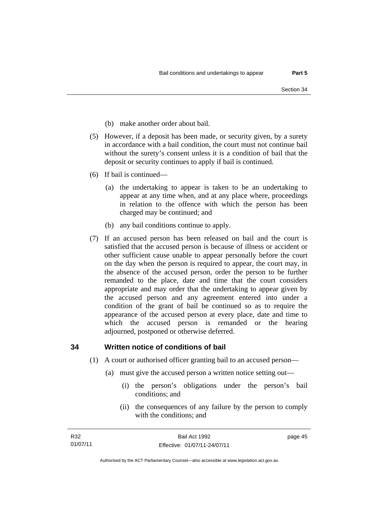- (b) make another order about bail.
- (5) However, if a deposit has been made, or security given, by a surety in accordance with a bail condition, the court must not continue bail without the surety's consent unless it is a condition of bail that the deposit or security continues to apply if bail is continued.
- (6) If bail is continued—
	- (a) the undertaking to appear is taken to be an undertaking to appear at any time when, and at any place where, proceedings in relation to the offence with which the person has been charged may be continued; and
	- (b) any bail conditions continue to apply.
- (7) If an accused person has been released on bail and the court is satisfied that the accused person is because of illness or accident or other sufficient cause unable to appear personally before the court on the day when the person is required to appear, the court may, in the absence of the accused person, order the person to be further remanded to the place, date and time that the court considers appropriate and may order that the undertaking to appear given by the accused person and any agreement entered into under a condition of the grant of bail be continued so as to require the appearance of the accused person at every place, date and time to which the accused person is remanded or the hearing adjourned, postponed or otherwise deferred.

#### **34 Written notice of conditions of bail**

- (1) A court or authorised officer granting bail to an accused person—
	- (a) must give the accused person a written notice setting out—
		- (i) the person's obligations under the person's bail conditions; and
		- (ii) the consequences of any failure by the person to comply with the conditions; and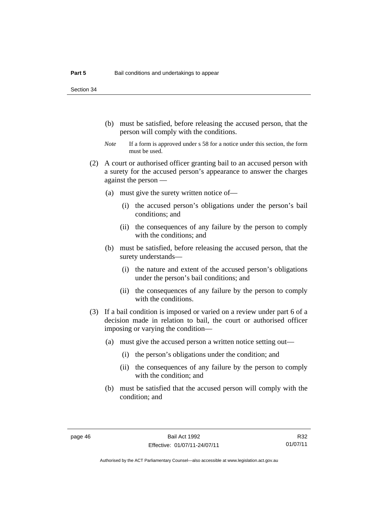Section 34

- (b) must be satisfied, before releasing the accused person, that the person will comply with the conditions.
- *Note* If a form is approved under s 58 for a notice under this section, the form must be used.
- (2) A court or authorised officer granting bail to an accused person with a surety for the accused person's appearance to answer the charges against the person —
	- (a) must give the surety written notice of—
		- (i) the accused person's obligations under the person's bail conditions; and
		- (ii) the consequences of any failure by the person to comply with the conditions; and
	- (b) must be satisfied, before releasing the accused person, that the surety understands—
		- (i) the nature and extent of the accused person's obligations under the person's bail conditions; and
		- (ii) the consequences of any failure by the person to comply with the conditions.
- (3) If a bail condition is imposed or varied on a review under part 6 of a decision made in relation to bail, the court or authorised officer imposing or varying the condition—
	- (a) must give the accused person a written notice setting out—
		- (i) the person's obligations under the condition; and
		- (ii) the consequences of any failure by the person to comply with the condition; and
	- (b) must be satisfied that the accused person will comply with the condition; and

R32 01/07/11

Authorised by the ACT Parliamentary Counsel—also accessible at www.legislation.act.gov.au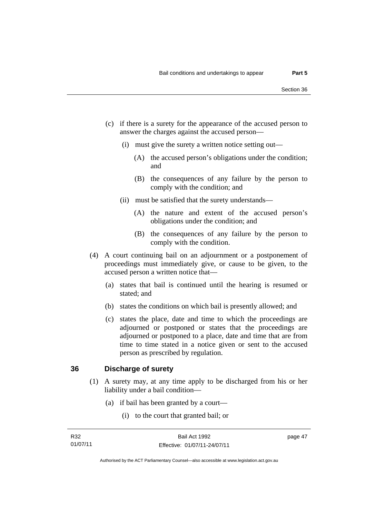- (c) if there is a surety for the appearance of the accused person to answer the charges against the accused person—
	- (i) must give the surety a written notice setting out—
		- (A) the accused person's obligations under the condition; and
		- (B) the consequences of any failure by the person to comply with the condition; and
	- (ii) must be satisfied that the surety understands—
		- (A) the nature and extent of the accused person's obligations under the condition; and
		- (B) the consequences of any failure by the person to comply with the condition.
- (4) A court continuing bail on an adjournment or a postponement of proceedings must immediately give, or cause to be given, to the accused person a written notice that—
	- (a) states that bail is continued until the hearing is resumed or stated; and
	- (b) states the conditions on which bail is presently allowed; and
	- (c) states the place, date and time to which the proceedings are adjourned or postponed or states that the proceedings are adjourned or postponed to a place, date and time that are from time to time stated in a notice given or sent to the accused person as prescribed by regulation.

#### **36 Discharge of surety**

- (1) A surety may, at any time apply to be discharged from his or her liability under a bail condition—
	- (a) if bail has been granted by a court—
		- (i) to the court that granted bail; or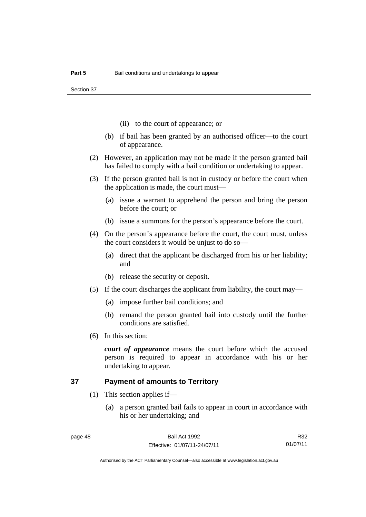Section 37

- (ii) to the court of appearance; or
- (b) if bail has been granted by an authorised officer—to the court of appearance.
- (2) However, an application may not be made if the person granted bail has failed to comply with a bail condition or undertaking to appear.
- (3) If the person granted bail is not in custody or before the court when the application is made, the court must—
	- (a) issue a warrant to apprehend the person and bring the person before the court; or
	- (b) issue a summons for the person's appearance before the court.
- (4) On the person's appearance before the court, the court must, unless the court considers it would be unjust to do so—
	- (a) direct that the applicant be discharged from his or her liability; and
	- (b) release the security or deposit.
- (5) If the court discharges the applicant from liability, the court may—
	- (a) impose further bail conditions; and
	- (b) remand the person granted bail into custody until the further conditions are satisfied.
- (6) In this section:

*court of appearance* means the court before which the accused person is required to appear in accordance with his or her undertaking to appear.

#### **37 Payment of amounts to Territory**

- (1) This section applies if—
	- (a) a person granted bail fails to appear in court in accordance with his or her undertaking; and

R32 01/07/11

Authorised by the ACT Parliamentary Counsel—also accessible at www.legislation.act.gov.au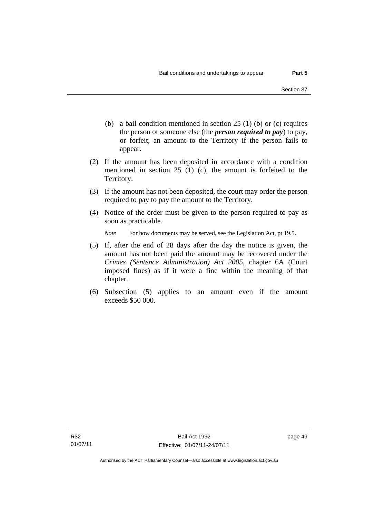- (b) a bail condition mentioned in section 25 (1) (b) or (c) requires the person or someone else (the *person required to pay*) to pay, or forfeit, an amount to the Territory if the person fails to appear.
- (2) If the amount has been deposited in accordance with a condition mentioned in section 25 (1) (c), the amount is forfeited to the Territory.
- (3) If the amount has not been deposited, the court may order the person required to pay to pay the amount to the Territory.
- (4) Notice of the order must be given to the person required to pay as soon as practicable.

*Note* For how documents may be served, see the Legislation Act, pt 19.5.

- (5) If, after the end of 28 days after the day the notice is given, the amount has not been paid the amount may be recovered under the *Crimes (Sentence Administration) Act 2005*, chapter 6A (Court imposed fines) as if it were a fine within the meaning of that chapter.
- (6) Subsection (5) applies to an amount even if the amount exceeds \$50 000.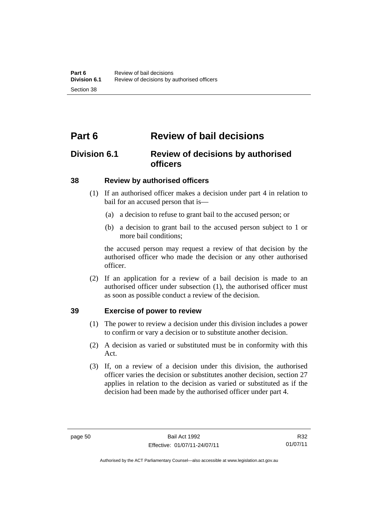# **Part 6 Review of bail decisions**

# **Division 6.1 Review of decisions by authorised officers**

#### **38 Review by authorised officers**

- (1) If an authorised officer makes a decision under part 4 in relation to bail for an accused person that is—
	- (a) a decision to refuse to grant bail to the accused person; or
	- (b) a decision to grant bail to the accused person subject to 1 or more bail conditions;

the accused person may request a review of that decision by the authorised officer who made the decision or any other authorised officer.

 (2) If an application for a review of a bail decision is made to an authorised officer under subsection (1), the authorised officer must as soon as possible conduct a review of the decision.

## **39 Exercise of power to review**

- (1) The power to review a decision under this division includes a power to confirm or vary a decision or to substitute another decision.
- (2) A decision as varied or substituted must be in conformity with this Act.
- (3) If, on a review of a decision under this division, the authorised officer varies the decision or substitutes another decision, section 27 applies in relation to the decision as varied or substituted as if the decision had been made by the authorised officer under part 4.

R32 01/07/11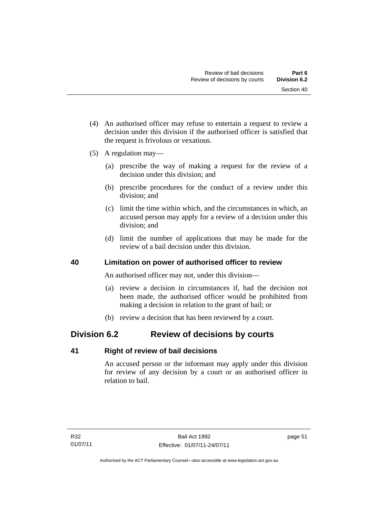- (4) An authorised officer may refuse to entertain a request to review a decision under this division if the authorised officer is satisfied that the request is frivolous or vexatious.
- (5) A regulation may—
	- (a) prescribe the way of making a request for the review of a decision under this division; and
	- (b) prescribe procedures for the conduct of a review under this division; and
	- (c) limit the time within which, and the circumstances in which, an accused person may apply for a review of a decision under this division; and
	- (d) limit the number of applications that may be made for the review of a bail decision under this division.

## **40 Limitation on power of authorised officer to review**

An authorised officer may not, under this division—

- (a) review a decision in circumstances if, had the decision not been made, the authorised officer would be prohibited from making a decision in relation to the grant of bail; or
- (b) review a decision that has been reviewed by a court.

# **Division 6.2 Review of decisions by courts**

## **41 Right of review of bail decisions**

An accused person or the informant may apply under this division for review of any decision by a court or an authorised officer in relation to bail.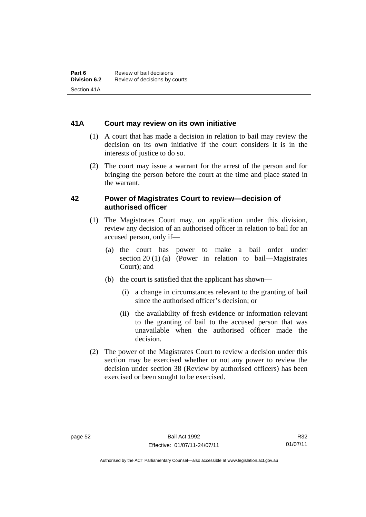#### **41A Court may review on its own initiative**

- (1) A court that has made a decision in relation to bail may review the decision on its own initiative if the court considers it is in the interests of justice to do so.
- (2) The court may issue a warrant for the arrest of the person and for bringing the person before the court at the time and place stated in the warrant.

#### **42 Power of Magistrates Court to review—decision of authorised officer**

- (1) The Magistrates Court may, on application under this division, review any decision of an authorised officer in relation to bail for an accused person, only if—
	- (a) the court has power to make a bail order under section 20 (1) (a) (Power in relation to bail—Magistrates Court); and
	- (b) the court is satisfied that the applicant has shown—
		- (i) a change in circumstances relevant to the granting of bail since the authorised officer's decision; or
		- (ii) the availability of fresh evidence or information relevant to the granting of bail to the accused person that was unavailable when the authorised officer made the decision.
- (2) The power of the Magistrates Court to review a decision under this section may be exercised whether or not any power to review the decision under section 38 (Review by authorised officers) has been exercised or been sought to be exercised.

R32 01/07/11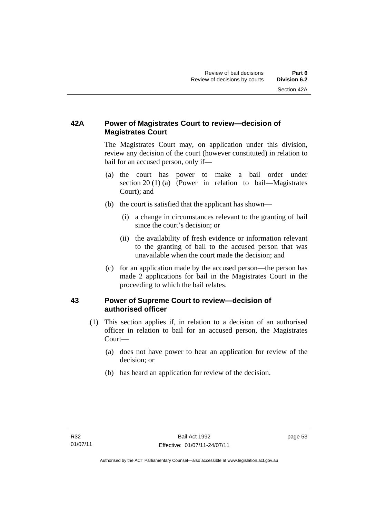## **42A Power of Magistrates Court to review—decision of Magistrates Court**

 The Magistrates Court may, on application under this division, review any decision of the court (however constituted) in relation to bail for an accused person, only if—

- (a) the court has power to make a bail order under section 20 (1) (a) (Power in relation to bail—Magistrates Court); and
- (b) the court is satisfied that the applicant has shown—
	- (i) a change in circumstances relevant to the granting of bail since the court's decision; or
	- (ii) the availability of fresh evidence or information relevant to the granting of bail to the accused person that was unavailable when the court made the decision; and
- (c) for an application made by the accused person—the person has made 2 applications for bail in the Magistrates Court in the proceeding to which the bail relates.

## **43 Power of Supreme Court to review—decision of authorised officer**

- (1) This section applies if, in relation to a decision of an authorised officer in relation to bail for an accused person, the Magistrates Court—
	- (a) does not have power to hear an application for review of the decision; or
	- (b) has heard an application for review of the decision.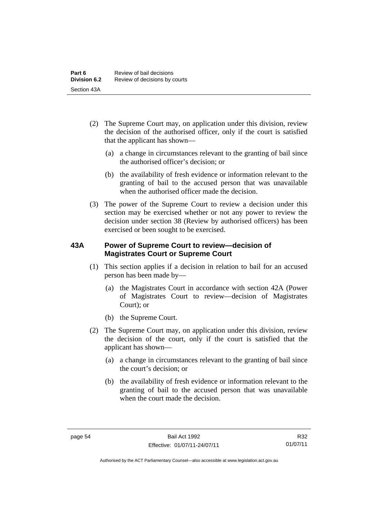- (2) The Supreme Court may, on application under this division, review the decision of the authorised officer, only if the court is satisfied that the applicant has shown—
	- (a) a change in circumstances relevant to the granting of bail since the authorised officer's decision; or
	- (b) the availability of fresh evidence or information relevant to the granting of bail to the accused person that was unavailable when the authorised officer made the decision.
- (3) The power of the Supreme Court to review a decision under this section may be exercised whether or not any power to review the decision under section 38 (Review by authorised officers) has been exercised or been sought to be exercised.

## **43A Power of Supreme Court to review—decision of Magistrates Court or Supreme Court**

- (1) This section applies if a decision in relation to bail for an accused person has been made by—
	- (a) the Magistrates Court in accordance with section 42A (Power of Magistrates Court to review—decision of Magistrates Court); or
	- (b) the Supreme Court.
- (2) The Supreme Court may, on application under this division, review the decision of the court, only if the court is satisfied that the applicant has shown—
	- (a) a change in circumstances relevant to the granting of bail since the court's decision; or
	- (b) the availability of fresh evidence or information relevant to the granting of bail to the accused person that was unavailable when the court made the decision.

R32 01/07/11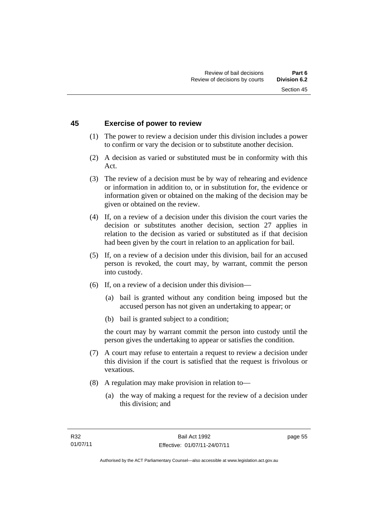#### **45 Exercise of power to review**

- (1) The power to review a decision under this division includes a power to confirm or vary the decision or to substitute another decision.
- (2) A decision as varied or substituted must be in conformity with this Act.
- (3) The review of a decision must be by way of rehearing and evidence or information in addition to, or in substitution for, the evidence or information given or obtained on the making of the decision may be given or obtained on the review.
- (4) If, on a review of a decision under this division the court varies the decision or substitutes another decision, section 27 applies in relation to the decision as varied or substituted as if that decision had been given by the court in relation to an application for bail.
- (5) If, on a review of a decision under this division, bail for an accused person is revoked, the court may, by warrant, commit the person into custody.
- (6) If, on a review of a decision under this division—
	- (a) bail is granted without any condition being imposed but the accused person has not given an undertaking to appear; or
	- (b) bail is granted subject to a condition;

the court may by warrant commit the person into custody until the person gives the undertaking to appear or satisfies the condition.

- (7) A court may refuse to entertain a request to review a decision under this division if the court is satisfied that the request is frivolous or vexatious.
- (8) A regulation may make provision in relation to—
	- (a) the way of making a request for the review of a decision under this division; and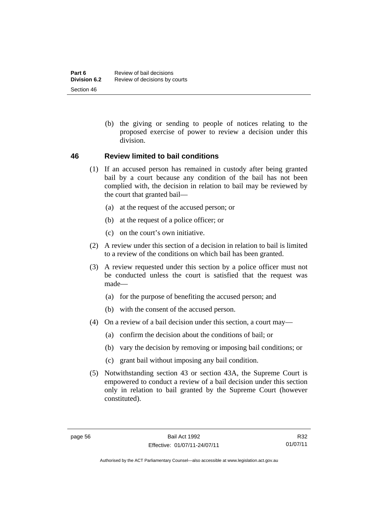(b) the giving or sending to people of notices relating to the proposed exercise of power to review a decision under this division.

#### **46 Review limited to bail conditions**

- (1) If an accused person has remained in custody after being granted bail by a court because any condition of the bail has not been complied with, the decision in relation to bail may be reviewed by the court that granted bail—
	- (a) at the request of the accused person; or
	- (b) at the request of a police officer; or
	- (c) on the court's own initiative.
- (2) A review under this section of a decision in relation to bail is limited to a review of the conditions on which bail has been granted.
- (3) A review requested under this section by a police officer must not be conducted unless the court is satisfied that the request was made—
	- (a) for the purpose of benefiting the accused person; and
	- (b) with the consent of the accused person.
- (4) On a review of a bail decision under this section, a court may—
	- (a) confirm the decision about the conditions of bail; or
	- (b) vary the decision by removing or imposing bail conditions; or
	- (c) grant bail without imposing any bail condition.
- (5) Notwithstanding section 43 or section 43A, the Supreme Court is empowered to conduct a review of a bail decision under this section only in relation to bail granted by the Supreme Court (however constituted).

R32 01/07/11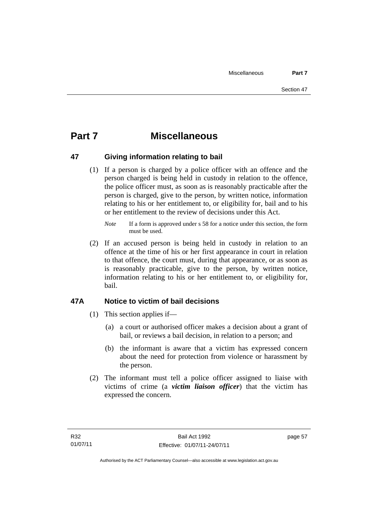# **Part 7 Miscellaneous**

## **47 Giving information relating to bail**

 (1) If a person is charged by a police officer with an offence and the person charged is being held in custody in relation to the offence, the police officer must, as soon as is reasonably practicable after the person is charged, give to the person, by written notice, information relating to his or her entitlement to, or eligibility for, bail and to his or her entitlement to the review of decisions under this Act.

 (2) If an accused person is being held in custody in relation to an offence at the time of his or her first appearance in court in relation to that offence, the court must, during that appearance, or as soon as is reasonably practicable, give to the person, by written notice, information relating to his or her entitlement to, or eligibility for, bail.

## **47A Notice to victim of bail decisions**

- (1) This section applies if—
	- (a) a court or authorised officer makes a decision about a grant of bail, or reviews a bail decision, in relation to a person; and
	- (b) the informant is aware that a victim has expressed concern about the need for protection from violence or harassment by the person.
- (2) The informant must tell a police officer assigned to liaise with victims of crime (a *victim liaison officer*) that the victim has expressed the concern.

*Note* If a form is approved under s 58 for a notice under this section, the form must be used.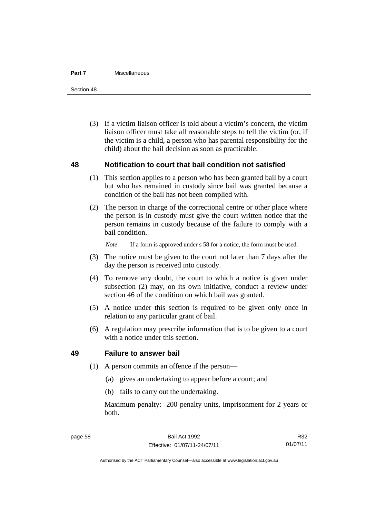#### **Part 7** Miscellaneous

Section 48

 (3) If a victim liaison officer is told about a victim's concern, the victim liaison officer must take all reasonable steps to tell the victim (or, if the victim is a child, a person who has parental responsibility for the child) about the bail decision as soon as practicable.

#### **48 Notification to court that bail condition not satisfied**

- (1) This section applies to a person who has been granted bail by a court but who has remained in custody since bail was granted because a condition of the bail has not been complied with.
- (2) The person in charge of the correctional centre or other place where the person is in custody must give the court written notice that the person remains in custody because of the failure to comply with a bail condition.

*Note* If a form is approved under s 58 for a notice, the form must be used.

- (3) The notice must be given to the court not later than 7 days after the day the person is received into custody.
- (4) To remove any doubt, the court to which a notice is given under subsection (2) may, on its own initiative, conduct a review under section 46 of the condition on which bail was granted.
- (5) A notice under this section is required to be given only once in relation to any particular grant of bail.
- (6) A regulation may prescribe information that is to be given to a court with a notice under this section.

#### **49 Failure to answer bail**

- (1) A person commits an offence if the person—
	- (a) gives an undertaking to appear before a court; and
	- (b) fails to carry out the undertaking.

Maximum penalty: 200 penalty units, imprisonment for 2 years or both.

R32 01/07/11

Authorised by the ACT Parliamentary Counsel—also accessible at www.legislation.act.gov.au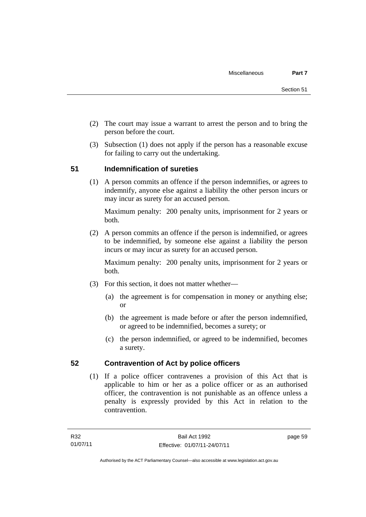- (2) The court may issue a warrant to arrest the person and to bring the person before the court.
- (3) Subsection (1) does not apply if the person has a reasonable excuse for failing to carry out the undertaking.

## **51 Indemnification of sureties**

(1) A person commits an offence if the person indemnifies, or agrees to indemnify, anyone else against a liability the other person incurs or may incur as surety for an accused person.

Maximum penalty: 200 penalty units, imprisonment for 2 years or both.

 (2) A person commits an offence if the person is indemnified, or agrees to be indemnified, by someone else against a liability the person incurs or may incur as surety for an accused person.

Maximum penalty: 200 penalty units, imprisonment for 2 years or both.

- (3) For this section, it does not matter whether—
	- (a) the agreement is for compensation in money or anything else; or
	- (b) the agreement is made before or after the person indemnified, or agreed to be indemnified, becomes a surety; or
	- (c) the person indemnified, or agreed to be indemnified, becomes a surety.

## **52 Contravention of Act by police officers**

(1) If a police officer contravenes a provision of this Act that is applicable to him or her as a police officer or as an authorised officer, the contravention is not punishable as an offence unless a penalty is expressly provided by this Act in relation to the contravention.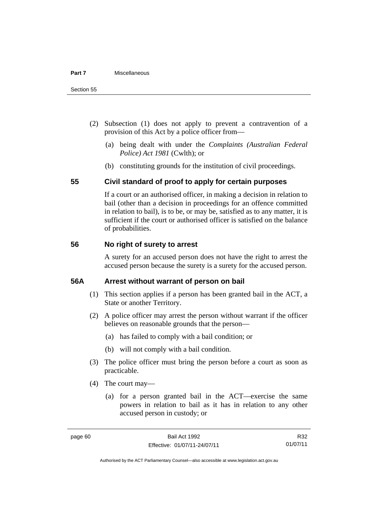- (2) Subsection (1) does not apply to prevent a contravention of a provision of this Act by a police officer from—
	- (a) being dealt with under the *Complaints (Australian Federal Police) Act 1981* (Cwlth); or
	- (b) constituting grounds for the institution of civil proceedings.

#### **55 Civil standard of proof to apply for certain purposes**

If a court or an authorised officer, in making a decision in relation to bail (other than a decision in proceedings for an offence committed in relation to bail), is to be, or may be, satisfied as to any matter, it is sufficient if the court or authorised officer is satisfied on the balance of probabilities.

#### **56 No right of surety to arrest**

A surety for an accused person does not have the right to arrest the accused person because the surety is a surety for the accused person.

#### **56A Arrest without warrant of person on bail**

- (1) This section applies if a person has been granted bail in the ACT, a State or another Territory.
- (2) A police officer may arrest the person without warrant if the officer believes on reasonable grounds that the person—
	- (a) has failed to comply with a bail condition; or
	- (b) will not comply with a bail condition.
- (3) The police officer must bring the person before a court as soon as practicable.
- (4) The court may—
	- (a) for a person granted bail in the ACT—exercise the same powers in relation to bail as it has in relation to any other accused person in custody; or

R32 01/07/11

Authorised by the ACT Parliamentary Counsel—also accessible at www.legislation.act.gov.au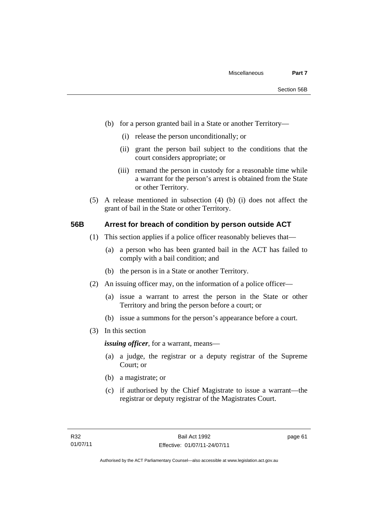- (b) for a person granted bail in a State or another Territory—
	- (i) release the person unconditionally; or
	- (ii) grant the person bail subject to the conditions that the court considers appropriate; or
	- (iii) remand the person in custody for a reasonable time while a warrant for the person's arrest is obtained from the State or other Territory.
- (5) A release mentioned in subsection (4) (b) (i) does not affect the grant of bail in the State or other Territory.

#### **56B Arrest for breach of condition by person outside ACT**

- (1) This section applies if a police officer reasonably believes that—
	- (a) a person who has been granted bail in the ACT has failed to comply with a bail condition; and
	- (b) the person is in a State or another Territory.
- (2) An issuing officer may, on the information of a police officer—
	- (a) issue a warrant to arrest the person in the State or other Territory and bring the person before a court; or
	- (b) issue a summons for the person's appearance before a court.
- (3) In this section

*issuing officer*, for a warrant, means—

- (a) a judge, the registrar or a deputy registrar of the Supreme Court; or
- (b) a magistrate; or
- (c) if authorised by the Chief Magistrate to issue a warrant—the registrar or deputy registrar of the Magistrates Court.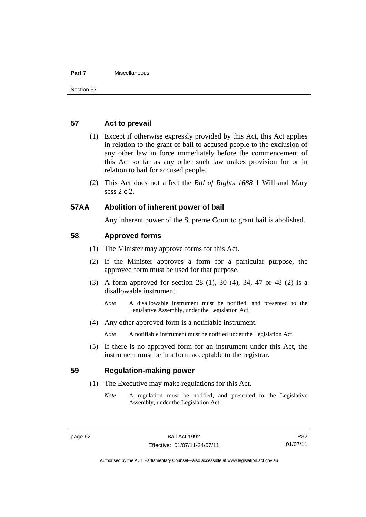#### **Part 7** Miscellaneous

#### **57 Act to prevail**

- (1) Except if otherwise expressly provided by this Act, this Act applies in relation to the grant of bail to accused people to the exclusion of any other law in force immediately before the commencement of this Act so far as any other such law makes provision for or in relation to bail for accused people.
- (2) This Act does not affect the *Bill of Rights 1688* 1 Will and Mary sess 2 c 2.

#### **57AA Abolition of inherent power of bail**

Any inherent power of the Supreme Court to grant bail is abolished.

#### **58 Approved forms**

- (1) The Minister may approve forms for this Act.
- (2) If the Minister approves a form for a particular purpose, the approved form must be used for that purpose.
- (3) A form approved for section 28 (1), 30 (4), 34, 47 or 48 (2) is a disallowable instrument.
	- *Note* A disallowable instrument must be notified, and presented to the Legislative Assembly, under the Legislation Act.
- (4) Any other approved form is a notifiable instrument.

*Note* A notifiable instrument must be notified under the Legislation Act.

 (5) If there is no approved form for an instrument under this Act, the instrument must be in a form acceptable to the registrar.

#### **59 Regulation-making power**

- (1) The Executive may make regulations for this Act.
	- *Note* A regulation must be notified, and presented to the Legislative Assembly, under the Legislation Act.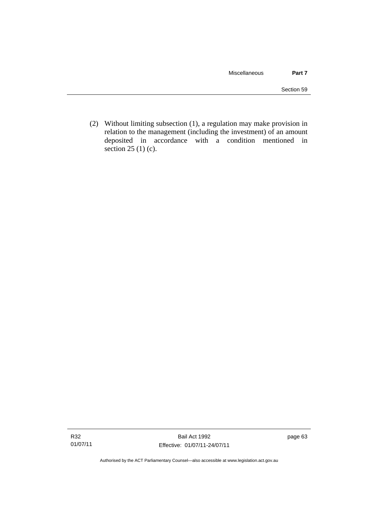(2) Without limiting subsection (1), a regulation may make provision in relation to the management (including the investment) of an amount deposited in accordance with a condition mentioned in section 25 (1) (c).

page 63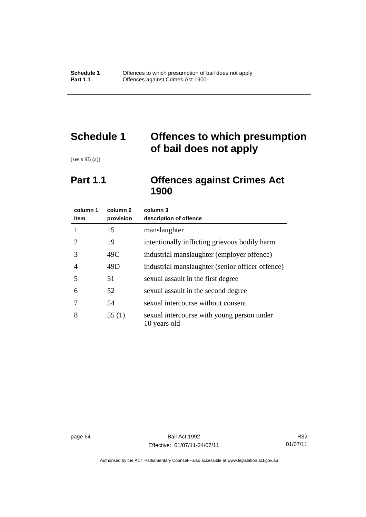# **Schedule 1 Offences to which presumption of bail does not apply**

(see s 9B (a))

# **Part 1.1 Offences against Crimes Act 1900**

| column 1<br>item            | column 2<br>provision | column 3<br>description of offence                         |
|-----------------------------|-----------------------|------------------------------------------------------------|
| 1                           | 15                    | manslaughter                                               |
| $\mathcal{D}_{\mathcal{L}}$ | 19                    | intentionally inflicting grievous bodily harm              |
| 3                           | 49C                   | industrial manslaughter (employer offence)                 |
| 4                           | 49D                   | industrial manslaughter (senior officer offence)           |
| 5                           | 51                    | sexual assault in the first degree                         |
| 6                           | 52                    | sexual assault in the second degree                        |
| 7                           | 54                    | sexual intercourse without consent                         |
| 8                           | 55(1)                 | sexual intercourse with young person under<br>10 years old |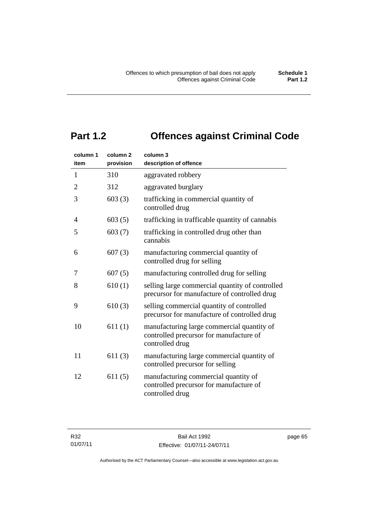# **Part 1.2 Offences against Criminal Code**

| column 1<br>item | column <sub>2</sub><br>provision | column 3<br>description of offence                                                                       |
|------------------|----------------------------------|----------------------------------------------------------------------------------------------------------|
| $\mathbf{1}$     | 310                              | aggravated robbery                                                                                       |
| $\overline{2}$   | 312                              | aggravated burglary                                                                                      |
| 3                | 603(3)                           | trafficking in commercial quantity of<br>controlled drug                                                 |
| 4                | 603(5)                           | trafficking in trafficable quantity of cannabis                                                          |
| 5                | 603(7)                           | trafficking in controlled drug other than<br>cannabis                                                    |
| 6                | 607(3)                           | manufacturing commercial quantity of<br>controlled drug for selling                                      |
| 7                | 607(5)                           | manufacturing controlled drug for selling                                                                |
| 8                | 610(1)                           | selling large commercial quantity of controlled<br>precursor for manufacture of controlled drug          |
| 9                | 610(3)                           | selling commercial quantity of controlled<br>precursor for manufacture of controlled drug                |
| 10               | 611(1)                           | manufacturing large commercial quantity of<br>controlled precursor for manufacture of<br>controlled drug |
| 11               | 611(3)                           | manufacturing large commercial quantity of<br>controlled precursor for selling                           |
| 12               | 611(5)                           | manufacturing commercial quantity of<br>controlled precursor for manufacture of<br>controlled drug       |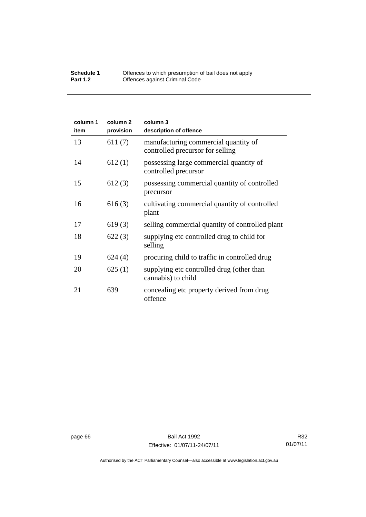#### **Schedule 1** Offences to which presumption of bail does not apply **Part 1.2 C** Offences against Criminal Code

| column 1<br>item | column <sub>2</sub><br>provision | column 3<br>description of offence                                       |
|------------------|----------------------------------|--------------------------------------------------------------------------|
| 13               | 611(7)                           | manufacturing commercial quantity of<br>controlled precursor for selling |
| 14               | 612(1)                           | possessing large commercial quantity of<br>controlled precursor          |
| 15               | 612(3)                           | possessing commercial quantity of controlled<br>precursor                |
| 16               | 616(3)                           | cultivating commercial quantity of controlled<br>plant                   |
| 17               | 619(3)                           | selling commercial quantity of controlled plant                          |
| 18               | 622(3)                           | supplying etc controlled drug to child for<br>selling                    |
| 19               | 624(4)                           | procuring child to traffic in controlled drug                            |
| 20               | 625(1)                           | supplying etc controlled drug (other than<br>cannabis) to child          |
| 21               | 639                              | concealing etc property derived from drug<br>offence                     |

R32 01/07/11

Authorised by the ACT Parliamentary Counsel—also accessible at www.legislation.act.gov.au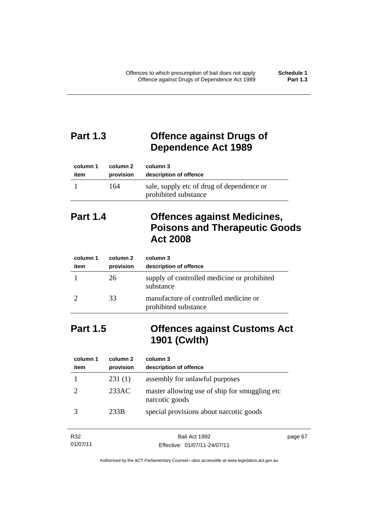# **Part 1.3 Offence against Drugs of Dependence Act 1989**

| column 1 | column 2  | column 3                                                          |
|----------|-----------|-------------------------------------------------------------------|
| item     | provision | description of offence                                            |
|          | 164       | sale, supply etc of drug of dependence or<br>prohibited substance |

# **Part 1.4 Offences against Medicines, Poisons and Therapeutic Goods Act 2008**

| column 1<br>item | column 2<br>provision | column 3<br>description of offence                            |
|------------------|-----------------------|---------------------------------------------------------------|
|                  | 26                    | supply of controlled medicine or prohibited<br>substance      |
|                  | 33                    | manufacture of controlled medicine or<br>prohibited substance |

# **Part 1.5 Offences against Customs Act 1901 (Cwlth)**

| column 1<br>item | column 2<br>provision | column 3<br>description of offence                               |
|------------------|-----------------------|------------------------------------------------------------------|
|                  | 231(1)                | assembly for unlawful purposes                                   |
|                  | 233AC                 | master allowing use of ship for smuggling etc.<br>narcotic goods |
|                  | 233B                  | special provisions about narcotic goods                          |

| R32      | Bail Act 1992                | page 67 |
|----------|------------------------------|---------|
| 01/07/11 | Effective: 01/07/11-24/07/11 |         |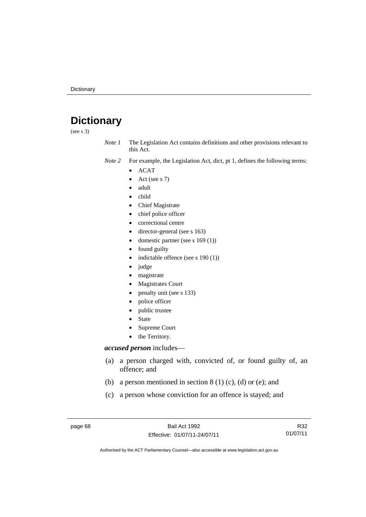# **Dictionary**

(see s 3)

*Note 1* The Legislation Act contains definitions and other provisions relevant to this Act.

*Note 2* For example, the Legislation Act, dict, pt 1, defines the following terms:

- ACAT
	- Act (see s 7)
	- adult
- child
- Chief Magistrate
- chief police officer
- correctional centre
- director-general (see s 163)
- domestic partner (see s 169 (1))
- found guilty
- indictable offence (see s 190 (1))
- $\bullet$  judge
- magistrate
- Magistrates Court
- penalty unit (see s 133)
- police officer
- public trustee
- State
- Supreme Court
- the Territory.

# *accused person* includes—

- (a) a person charged with, convicted of, or found guilty of, an offence; and
- (b) a person mentioned in section  $8(1)(c)$ , (d) or (e); and
- (c) a person whose conviction for an offence is stayed; and

page 68 Bail Act 1992 Effective: 01/07/11-24/07/11

R32 01/07/11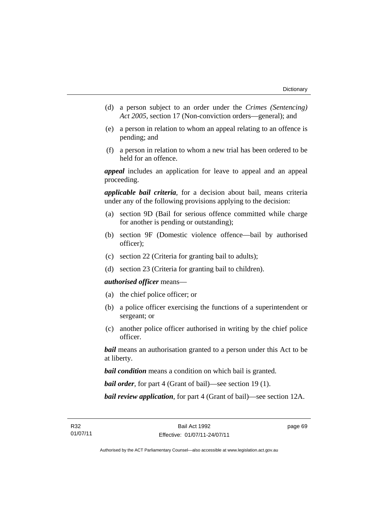- (d) a person subject to an order under the *Crimes (Sentencing) Act 2005*, section 17 (Non-conviction orders—general); and
- (e) a person in relation to whom an appeal relating to an offence is pending; and
- (f) a person in relation to whom a new trial has been ordered to be held for an offence.

*appeal* includes an application for leave to appeal and an appeal proceeding.

*applicable bail criteria*, for a decision about bail, means criteria under any of the following provisions applying to the decision:

- (a) section 9D (Bail for serious offence committed while charge for another is pending or outstanding);
- (b) section 9F (Domestic violence offence—bail by authorised officer);
- (c) section 22 (Criteria for granting bail to adults);
- (d) section 23 (Criteria for granting bail to children).

# *authorised officer* means—

- (a) the chief police officer; or
- (b) a police officer exercising the functions of a superintendent or sergeant; or
- (c) another police officer authorised in writing by the chief police officer.

*bail* means an authorisation granted to a person under this Act to be at liberty.

*bail condition* means a condition on which bail is granted.

*bail order*, for part 4 (Grant of bail)—see section 19 (1).

*bail review application*, for part 4 (Grant of bail)—see section 12A.

page 69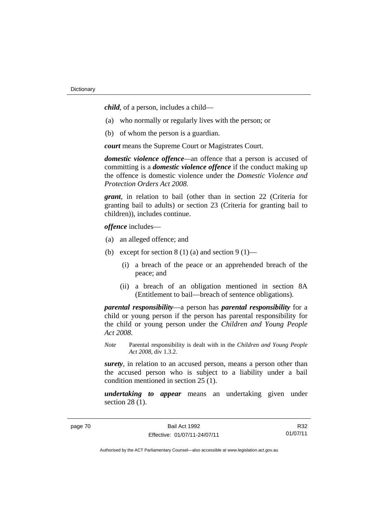*child*, of a person, includes a child—

- (a) who normally or regularly lives with the person; or
- (b) of whom the person is a guardian.

*court* means the Supreme Court or Magistrates Court.

*domestic violence offence—*an offence that a person is accused of committing is a *domestic violence offence* if the conduct making up the offence is domestic violence under the *Domestic Violence and Protection Orders Act 2008*.

*grant*, in relation to bail (other than in section 22 (Criteria for granting bail to adults) or section 23 (Criteria for granting bail to children)), includes continue.

*offence* includes—

- (a) an alleged offence; and
- (b) except for section  $8(1)(a)$  and section  $9(1)$ 
	- (i) a breach of the peace or an apprehended breach of the peace; and
	- (ii) a breach of an obligation mentioned in section 8A (Entitlement to bail—breach of sentence obligations).

*parental responsibility*—a person has *parental responsibility* for a child or young person if the person has parental responsibility for the child or young person under the *Children and Young People Act 2008*.

*Note* Parental responsibility is dealt with in the *Children and Young People Act 2008*, div 1.3.2.

*surety*, in relation to an accused person, means a person other than the accused person who is subject to a liability under a bail condition mentioned in section 25 (1).

*undertaking to appear* means an undertaking given under section 28 (1).

page 70 Bail Act 1992 Effective: 01/07/11-24/07/11

R32 01/07/11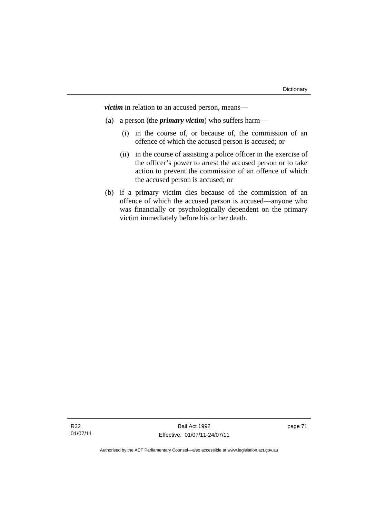*victim* in relation to an accused person, means—

- (a) a person (the *primary victim*) who suffers harm—
	- (i) in the course of, or because of, the commission of an offence of which the accused person is accused; or
	- (ii) in the course of assisting a police officer in the exercise of the officer's power to arrest the accused person or to take action to prevent the commission of an offence of which the accused person is accused; or
- (b) if a primary victim dies because of the commission of an offence of which the accused person is accused—anyone who was financially or psychologically dependent on the primary victim immediately before his or her death.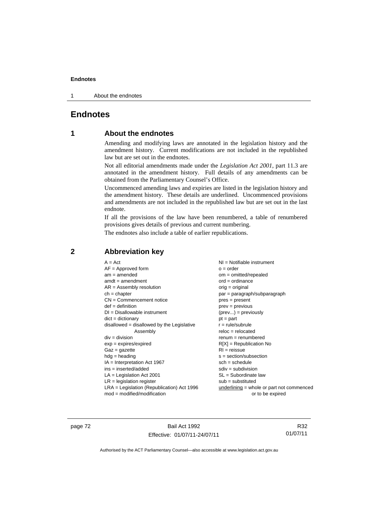1 About the endnotes

# **Endnotes**

# **1 About the endnotes**

Amending and modifying laws are annotated in the legislation history and the amendment history. Current modifications are not included in the republished law but are set out in the endnotes.

Not all editorial amendments made under the *Legislation Act 2001*, part 11.3 are annotated in the amendment history. Full details of any amendments can be obtained from the Parliamentary Counsel's Office.

Uncommenced amending laws and expiries are listed in the legislation history and the amendment history. These details are underlined. Uncommenced provisions and amendments are not included in the republished law but are set out in the last endnote.

If all the provisions of the law have been renumbered, a table of renumbered provisions gives details of previous and current numbering.

The endnotes also include a table of earlier republications.

| $mod = modified/modification$<br>or to be expired | $A = Act$<br>$AF =$ Approved form<br>$am = amended$<br>$amdt = amendment$<br>$AR = Assembly resolution$<br>$ch = chapter$<br>$CN =$ Commencement notice<br>$def = definition$<br>$DI = Disallowable instrument$<br>$dict = dictionary$<br>disallowed = disallowed by the Legislative<br>Assembly<br>$div = division$<br>$exp = expires/expired$<br>$Gaz = gazette$<br>$hdg =$ heading<br>$IA = Interpretation Act 1967$<br>$ins = inserted/added$<br>$LA =$ Legislation Act 2001<br>$LR =$ legislation register<br>$LRA =$ Legislation (Republication) Act 1996 | NI = Notifiable instrument<br>$o = order$<br>$om = omitted/repealed$<br>$ord = ordinance$<br>$orig = original$<br>par = paragraph/subparagraph<br>$pres = present$<br>$prev = previous$<br>$(\text{prev}) = \text{previously}$<br>$pt = part$<br>$r = rule/subrule$<br>$reloc = relocated$<br>$renum = renumbered$<br>$R[X]$ = Republication No<br>$RI = reissue$<br>$s = section/subsection$<br>$sch = schedule$<br>$sdiv = subdivision$<br>$SL = Subordinate$ law<br>$sub =$ substituted<br>underlining = whole or part not commenced |
|---------------------------------------------------|-----------------------------------------------------------------------------------------------------------------------------------------------------------------------------------------------------------------------------------------------------------------------------------------------------------------------------------------------------------------------------------------------------------------------------------------------------------------------------------------------------------------------------------------------------------------|-----------------------------------------------------------------------------------------------------------------------------------------------------------------------------------------------------------------------------------------------------------------------------------------------------------------------------------------------------------------------------------------------------------------------------------------------------------------------------------------------------------------------------------------|
|                                                   |                                                                                                                                                                                                                                                                                                                                                                                                                                                                                                                                                                 |                                                                                                                                                                                                                                                                                                                                                                                                                                                                                                                                         |

# **2 Abbreviation key**

page 72 Bail Act 1992 Effective: 01/07/11-24/07/11

R32 01/07/11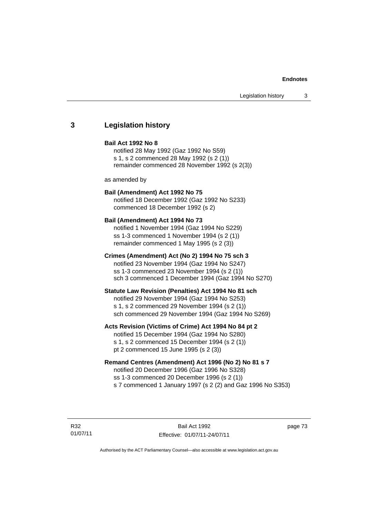# **3 Legislation history**

#### **Bail Act 1992 No 8**

notified 28 May 1992 (Gaz 1992 No S59) s 1, s 2 commenced 28 May 1992 (s 2 (1)) remainder commenced 28 November 1992 (s 2(3))

as amended by

# **Bail (Amendment) Act 1992 No 75**

notified 18 December 1992 (Gaz 1992 No S233) commenced 18 December 1992 (s 2)

#### **Bail (Amendment) Act 1994 No 73**

notified 1 November 1994 (Gaz 1994 No S229) ss 1-3 commenced 1 November 1994 (s 2 (1)) remainder commenced 1 May 1995 (s 2 (3))

## **Crimes (Amendment) Act (No 2) 1994 No 75 sch 3**

notified 23 November 1994 (Gaz 1994 No S247) ss 1-3 commenced 23 November 1994 (s 2 (1)) sch 3 commenced 1 December 1994 (Gaz 1994 No S270)

#### **Statute Law Revision (Penalties) Act 1994 No 81 sch**

notified 29 November 1994 (Gaz 1994 No S253) s 1, s 2 commenced 29 November 1994 (s 2 (1)) sch commenced 29 November 1994 (Gaz 1994 No S269)

#### **Acts Revision (Victims of Crime) Act 1994 No 84 pt 2**

notified 15 December 1994 (Gaz 1994 No S280) s 1, s 2 commenced 15 December 1994 (s 2 (1)) pt 2 commenced 15 June 1995 (s 2 (3))

### **Remand Centres (Amendment) Act 1996 (No 2) No 81 s 7**

notified 20 December 1996 (Gaz 1996 No S328) ss 1-3 commenced 20 December 1996 (s 2 (1)) s 7 commenced 1 January 1997 (s 2 (2) and Gaz 1996 No S353)

R32 01/07/11 page 73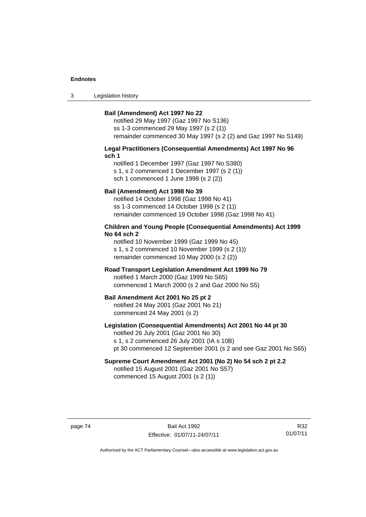3 Legislation history

#### **Bail (Amendment) Act 1997 No 22**

notified 29 May 1997 (Gaz 1997 No S136) ss 1-3 commenced 29 May 1997 (s 2 (1)) remainder commenced 30 May 1997 (s 2 (2) and Gaz 1997 No S149)

#### **Legal Practitioners (Consequential Amendments) Act 1997 No 96 sch 1**

notified 1 December 1997 (Gaz 1997 No S380) s 1, s 2 commenced 1 December 1997 (s 2 (1)) sch 1 commenced 1 June 1998 (s 2 (2))

# **Bail (Amendment) Act 1998 No 39**

notified 14 October 1998 (Gaz 1998 No 41) ss 1-3 commenced 14 October 1998 (s 2 (1)) remainder commenced 19 October 1998 (Gaz 1998 No 41)

#### **Children and Young People (Consequential Amendments) Act 1999 No 64 sch 2**

notified 10 November 1999 (Gaz 1999 No 45) s 1, s 2 commenced 10 November 1999 (s 2 (1)) remainder commenced 10 May 2000 (s 2 (2))

#### **Road Transport Legislation Amendment Act 1999 No 79**

notified 1 March 2000 (Gaz 1999 No S65) commenced 1 March 2000 (s 2 and Gaz 2000 No S5)

#### **Bail Amendment Act 2001 No 25 pt 2**

notified 24 May 2001 (Gaz 2001 No 21) commenced 24 May 2001 (s 2)

# **Legislation (Consequential Amendments) Act 2001 No 44 pt 30**

notified 26 July 2001 (Gaz 2001 No 30) s 1, s 2 commenced 26 July 2001 (IA s 10B) pt 30 commenced 12 September 2001 (s 2 and see Gaz 2001 No S65)

### **Supreme Court Amendment Act 2001 (No 2) No 54 sch 2 pt 2.2**  notified 15 August 2001 (Gaz 2001 No S57)

commenced 15 August 2001 (s 2 (1))

page 74 Bail Act 1992 Effective: 01/07/11-24/07/11

R32 01/07/11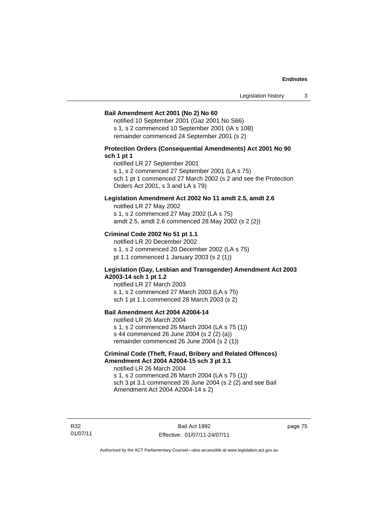#### **Bail Amendment Act 2001 (No 2) No 60**

notified 10 September 2001 (Gaz 2001 No S66) s 1, s 2 commenced 10 September 2001 (IA s 10B) remainder commenced 24 September 2001 (s 2)

# **Protection Orders (Consequential Amendments) Act 2001 No 90 sch 1 pt 1**

notified LR 27 September 2001

s 1, s 2 commenced 27 September 2001 (LA s 75)

sch 1 pt 1 commenced 27 March 2002 (s 2 and see the Protection Orders Act 2001, s 3 and LA s 79)

## **Legislation Amendment Act 2002 No 11 amdt 2.5, amdt 2.6**

notified LR 27 May 2002 s 1, s 2 commenced 27 May 2002 (LA s 75) amdt 2.5, amdt 2.6 commenced 28 May 2002 (s 2 (2))

### **Criminal Code 2002 No 51 pt 1.1**

notified LR 20 December 2002 s 1, s 2 commenced 20 December 2002 (LA s 75) pt 1.1 commenced 1 January 2003 (s 2 (1))

#### **Legislation (Gay, Lesbian and Transgender) Amendment Act 2003 A2003-14 sch 1 pt 1.2**

notified LR 27 March 2003 s 1, s 2 commenced 27 March 2003 (LA s 75) sch 1 pt 1.1 commenced 28 March 2003 (s 2)

# **Bail Amendment Act 2004 A2004-14**

notified LR 26 March 2004 s 1, s 2 commenced 26 March 2004 (LA s 75 (1)) s 44 commenced 26 June 2004 (s 2 (2) (a)) remainder commenced 26 June 2004 (s 2 (1))

# **Criminal Code (Theft, Fraud, Bribery and Related Offences) Amendment Act 2004 A2004-15 sch 3 pt 3.1**

notified LR 26 March 2004 s 1, s 2 commenced 26 March 2004 (LA s 75 (1)) sch 3 pt 3.1 commenced 26 June 2004 (s 2 (2) and see Bail Amendment Act 2004 A2004-14 s 2)

R32 01/07/11

Bail Act 1992 Effective: 01/07/11-24/07/11 page 75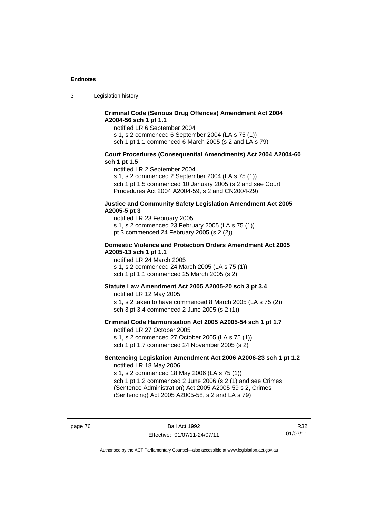3 Legislation history

# **Criminal Code (Serious Drug Offences) Amendment Act 2004 A2004-56 sch 1 pt 1.1**

notified LR 6 September 2004

s 1, s 2 commenced 6 September 2004 (LA s 75 (1))

sch 1 pt 1.1 commenced 6 March 2005 (s 2 and LA s 79)

#### **Court Procedures (Consequential Amendments) Act 2004 A2004-60 sch 1 pt 1.5**

notified LR 2 September 2004

s 1, s 2 commenced 2 September 2004 (LA s 75 (1)) sch 1 pt 1.5 commenced 10 January 2005 (s 2 and see Court Procedures Act 2004 A2004-59, s 2 and CN2004-29)

#### **Justice and Community Safety Legislation Amendment Act 2005 A2005-5 pt 3**

notified LR 23 February 2005 s 1, s 2 commenced 23 February 2005 (LA s 75 (1)) pt 3 commenced 24 February 2005 (s 2 (2))

#### **Domestic Violence and Protection Orders Amendment Act 2005 A2005-13 sch 1 pt 1.1**

notified LR 24 March 2005 s 1, s 2 commenced 24 March 2005 (LA s 75 (1)) sch 1 pt 1.1 commenced 25 March 2005 (s 2)

### **Statute Law Amendment Act 2005 A2005-20 sch 3 pt 3.4**

notified LR 12 May 2005 s 1, s 2 taken to have commenced 8 March 2005 (LA s 75 (2)) sch 3 pt 3.4 commenced 2 June 2005 (s 2 (1))

#### **Criminal Code Harmonisation Act 2005 A2005-54 sch 1 pt 1.7**  notified LR 27 October 2005

s 1, s 2 commenced 27 October 2005 (LA s 75 (1)) sch 1 pt 1.7 commenced 24 November 2005 (s 2)

#### **Sentencing Legislation Amendment Act 2006 A2006-23 sch 1 pt 1.2**  notified LR 18 May 2006

s 1, s 2 commenced 18 May 2006 (LA s 75 (1)) sch 1 pt 1.2 commenced 2 June 2006 (s 2 (1) and see Crimes

(Sentence Administration) Act 2005 A2005-59 s 2, Crimes (Sentencing) Act 2005 A2005-58, s 2 and LA s 79)

page 76 Bail Act 1992 Effective: 01/07/11-24/07/11

R32 01/07/11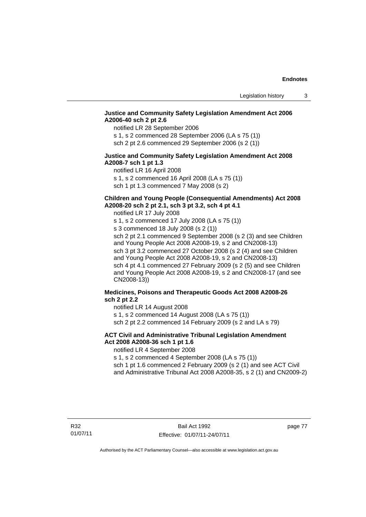# **Justice and Community Safety Legislation Amendment Act 2006 A2006-40 sch 2 pt 2.6**

notified LR 28 September 2006

s 1, s 2 commenced 28 September 2006 (LA s 75 (1)) sch 2 pt 2.6 commenced 29 September 2006 (s 2 (1))

#### **Justice and Community Safety Legislation Amendment Act 2008 A2008-7 sch 1 pt 1.3**

notified LR 16 April 2008 s 1, s 2 commenced 16 April 2008 (LA s 75 (1))

sch 1 pt 1.3 commenced 7 May 2008 (s 2)

# **Children and Young People (Consequential Amendments) Act 2008 A2008-20 sch 2 pt 2.1, sch 3 pt 3.2, sch 4 pt 4.1**

notified LR 17 July 2008

s 1, s 2 commenced 17 July 2008 (LA s 75 (1)) s 3 commenced 18 July 2008 (s 2 (1)) sch 2 pt 2.1 commenced 9 September 2008 (s 2 (3) and see Children

and Young People Act 2008 A2008-19, s 2 and CN2008-13) sch 3 pt 3.2 commenced 27 October 2008 (s 2 (4) and see Children and Young People Act 2008 A2008-19, s 2 and CN2008-13) sch 4 pt 4.1 commenced 27 February 2009 (s 2 (5) and see Children and Young People Act 2008 A2008-19, s 2 and CN2008-17 (and see CN2008-13))

# **Medicines, Poisons and Therapeutic Goods Act 2008 A2008-26 sch 2 pt 2.2**

notified LR 14 August 2008 s 1, s 2 commenced 14 August 2008 (LA s 75 (1))

sch 2 pt 2.2 commenced 14 February 2009 (s 2 and LA s 79)

# **ACT Civil and Administrative Tribunal Legislation Amendment Act 2008 A2008-36 sch 1 pt 1.6**

notified LR 4 September 2008

s 1, s 2 commenced 4 September 2008 (LA s 75 (1))

sch 1 pt 1.6 commenced 2 February 2009 (s 2 (1) and see ACT Civil and Administrative Tribunal Act 2008 A2008-35, s 2 (1) and CN2009-2)

page 77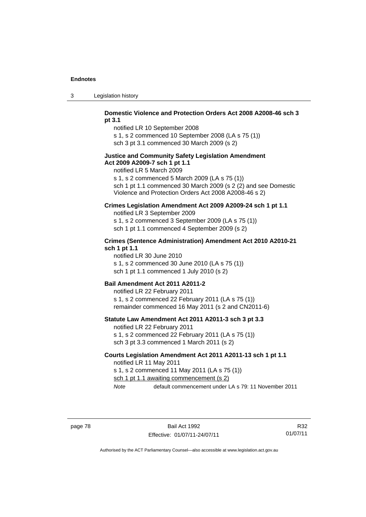3 Legislation history

# **Domestic Violence and Protection Orders Act 2008 A2008-46 sch 3 pt 3.1**

notified LR 10 September 2008 s 1, s 2 commenced 10 September 2008 (LA s 75 (1))

sch 3 pt 3.1 commenced 30 March 2009 (s 2)

### **Justice and Community Safety Legislation Amendment Act 2009 A2009-7 sch 1 pt 1.1**

notified LR 5 March 2009

s 1, s 2 commenced 5 March 2009 (LA s 75 (1)) sch 1 pt 1.1 commenced 30 March 2009 (s 2 (2) and see Domestic Violence and Protection Orders Act 2008 A2008-46 s 2)

# **Crimes Legislation Amendment Act 2009 A2009-24 sch 1 pt 1.1**

notified LR 3 September 2009 s 1, s 2 commenced 3 September 2009 (LA s 75 (1)) sch 1 pt 1.1 commenced 4 September 2009 (s 2)

# **Crimes (Sentence Administration) Amendment Act 2010 A2010-21 sch 1 pt 1.1**

notified LR 30 June 2010 s 1, s 2 commenced 30 June 2010 (LA s 75 (1)) sch 1 pt 1.1 commenced 1 July 2010 (s 2)

#### **Bail Amendment Act 2011 A2011-2**

notified LR 22 February 2011 s 1, s 2 commenced 22 February 2011 (LA s 75 (1)) remainder commenced 16 May 2011 (s 2 and CN2011-6)

#### **Statute Law Amendment Act 2011 A2011-3 sch 3 pt 3.3**

notified LR 22 February 2011 s 1, s 2 commenced 22 February 2011 (LA s 75 (1)) sch 3 pt 3.3 commenced 1 March 2011 (s 2)

#### **Courts Legislation Amendment Act 2011 A2011-13 sch 1 pt 1.1**  notified LR 11 May 2011

s 1, s 2 commenced 11 May 2011 (LA s 75 (1))

sch 1 pt 1.1 awaiting commencement (s 2)

*Note* default commencement under LA s 79: 11 November 2011

R32 01/07/11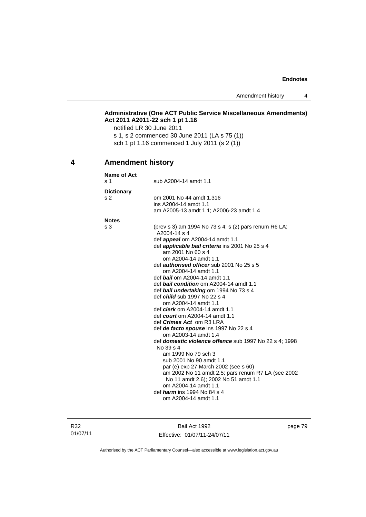Amendment history 4

# **Administrative (One ACT Public Service Miscellaneous Amendments) Act 2011 A2011-22 sch 1 pt 1.16**

notified LR 30 June 2011 s 1, s 2 commenced 30 June 2011 (LA s 75 (1)) sch 1 pt 1.16 commenced 1 July 2011 (s 2 (1))

# **4 Amendment history**

| <b>Name of Act</b> |                                                               |
|--------------------|---------------------------------------------------------------|
| s <sub>1</sub>     | sub A2004-14 amdt 1.1                                         |
| <b>Dictionary</b>  |                                                               |
| s <sub>2</sub>     | om 2001 No 44 amdt 1.316                                      |
|                    | ins A2004-14 amdt 1.1                                         |
|                    | am A2005-13 amdt 1.1; A2006-23 amdt 1.4                       |
| <b>Notes</b>       |                                                               |
| s 3                | (prev s 3) am 1994 No 73 s 4; s (2) pars renum R6 LA;         |
|                    | A2004-14 s 4                                                  |
|                    | def <b>appeal</b> om A2004-14 amdt 1.1                        |
|                    | def <b>applicable bail criteria</b> ins 2001 No 25 s 4        |
|                    | am 2001 No 60 s 4                                             |
|                    | om A2004-14 amdt 1.1                                          |
|                    | def <i>authorised officer</i> sub 2001 No 25 s 5              |
|                    | om A2004-14 amdt 1.1                                          |
|                    | def <b>bail</b> om A2004-14 amdt 1.1                          |
|                    | def <b>bail condition</b> om A2004-14 amdt 1.1                |
|                    | def bail undertaking om 1994 No 73 s 4                        |
|                    | def <i>child</i> sub 1997 No 22 s 4                           |
|                    | om A2004-14 amdt 1.1                                          |
|                    | def <i>clerk</i> om A2004-14 amdt 1.1                         |
|                    | def <i>court</i> om A2004-14 amdt 1.1                         |
|                    | def <i>Crimes Act</i> om R3 LRA                               |
|                    | def de facto spouse ins 1997 No 22 s 4                        |
|                    | om A2003-14 amdt 1.4                                          |
|                    | def <b>domestic violence offence</b> sub 1997 No 22 s 4; 1998 |
|                    | No 39 s 4                                                     |
|                    | am 1999 No 79 sch 3                                           |
|                    | sub 2001 No 90 amdt 1.1                                       |
|                    | par (e) exp 27 March 2002 (see s 60)                          |
|                    | am 2002 No 11 amdt 2.5; pars renum R7 LA (see 2002            |
|                    | No 11 amdt 2.6); 2002 No 51 amdt 1.1                          |
|                    | om A2004-14 amdt 1.1                                          |
|                    | def <i>harm</i> ins 1994 No 84 s 4                            |
|                    | om A2004-14 amdt 1.1                                          |
|                    |                                                               |

R32 01/07/11

Bail Act 1992 Effective: 01/07/11-24/07/11 page 79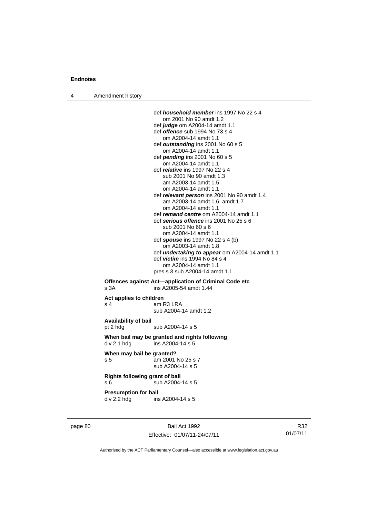4 Amendment history

 def *household member* ins 1997 No 22 s 4 om 2001 No 90 amdt 1.2 def *judge* om A2004-14 amdt 1.1 def *offence* sub 1994 No 73 s 4 om A2004-14 amdt 1.1 def *outstanding* ins 2001 No 60 s 5 om A2004-14 amdt 1.1 def *pending* ins 2001 No 60 s 5 om A2004-14 amdt 1.1 def *relative* ins 1997 No 22 s 4 sub 2001 No 90 amdt 1.3 am A2003-14 amdt 1.5 om A2004-14 amdt 1.1 def *relevant person* ins 2001 No 90 amdt 1.4 am A2003-14 amdt 1.6, amdt 1.7 om A2004-14 amdt 1.1 def *remand centre* om A2004-14 amdt 1.1 def *serious offence* ins 2001 No 25 s 6 sub 2001 No 60 s 6 om A2004-14 amdt 1.1 def *spouse* ins 1997 No 22 s 4 (b) om A2003-14 amdt 1.8 def *undertaking to appear* om A2004-14 amdt 1.1 def *victim* ins 1994 No 84 s 4 om A2004-14 amdt 1.1 pres s 3 sub A2004-14 amdt 1.1 **Offences against Act—application of Criminal Code etc**  s 3A ins A2005-54 amdt 1.44 **Act applies to children**  s 4 am R3 LRA sub A2004-14 amdt 1.2 **Availability of bail**  pt 2 hdg sub A2004-14 s 5 **When bail may be granted and rights following**   $div 2.1$  hdg ins A2004-14 s 5 **When may bail be granted?** 

s 5 am 2001 No 25 s 7 sub A2004-14 s 5

**Rights following grant of bail**  s 6  $\overline{\smash{\big)}\smash{\big)}\smash{\big)}$  sub A2004-14 s 5

**Presumption for bail** 

div 2.2 hdg ins A2004-14 s 5

page 80 Bail Act 1992 Effective: 01/07/11-24/07/11

R32 01/07/11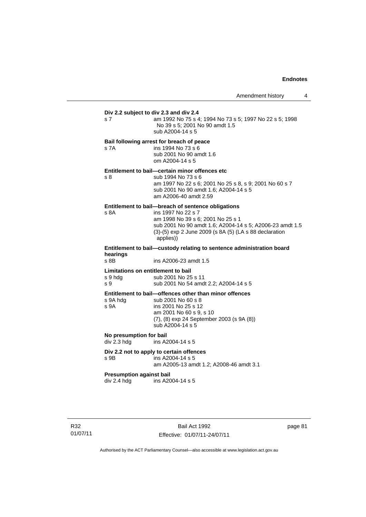# **Div 2.2 subject to div 2.3 and div 2.4** s 7 am 1992 No 75 s 4; 1994 No 73 s 5; 1997 No 22 s 5; 1998 No 39 s 5; 2001 No 90 amdt 1.5 sub A2004-14 s 5 **Bail following arrest for breach of peace** s 7A ins 1994 No 73 s 6 sub 2001 No 90 amdt 1.6 om A2004-14 s 5 **Entitlement to bail—certain minor offences etc** s 8 sub 1994 No 73 s 6 am 1997 No 22 s 6; 2001 No 25 s 8, s 9; 2001 No 60 s 7 sub 2001 No 90 amdt 1.6; A2004-14 s 5 am A2006-40 amdt 2.59 **Entitlement to bail—breach of sentence obligations**<br>s 8A **ins 1997 No 22 s 7** ins 1997 No 22 s 7 am 1998 No 39 s 6; 2001 No 25 s 1 sub 2001 No 90 amdt 1.6; A2004-14 s 5; A2006-23 amdt 1.5 (3)-(5) exp 2 June 2009 (s 8A (5) (LA s 88 declaration applies)) **Entitlement to bail—custody relating to sentence administration board hearings** ins A2006-23 amdt 1.5 **Limitations on entitlement to bail**  s 9 hdg sub 2001 No 25 s 11 s 9 sub 2001 No 54 amdt 2.2; A2004-14 s 5 **Entitlement to bail—offences other than minor offences**<br>s 9A hdg sub 2001 No 60 s 8 s 9A hdg sub 2001 No 60 s 8<br>s 9A ins 2001 No 25 s 12 ins 2001 No 25 s 12 am 2001 No 60 s 9, s 10 (7), (8) exp 24 September 2003 (s 9A (8)) sub A2004-14 s 5 **No presumption for bail**  ins A2004-14 s 5 **Div 2.2 not to apply to certain offences**  s 9B ins A2004-14 s 5 am A2005-13 amdt 1.2; A2008-46 amdt 3.1 **Presumption against bail**<br>div 2.4 hdg ins A20 ins A2004-14 s 5

Bail Act 1992 Effective: 01/07/11-24/07/11 page 81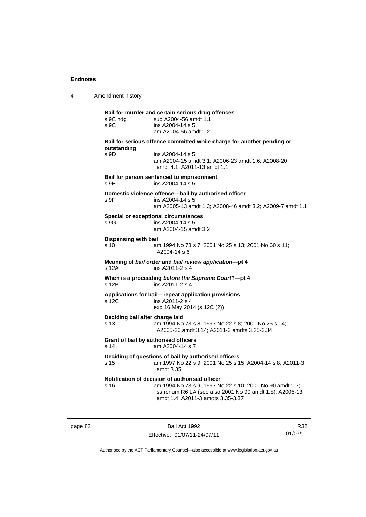4 Amendment history

| s 9C hdg<br>S <sub>9C</sub>                    | sub A2004-56 amdt 1.1<br>ins A2004-14 s 5<br>am A2004-56 amdt 1.2                                                                                                     |
|------------------------------------------------|-----------------------------------------------------------------------------------------------------------------------------------------------------------------------|
|                                                | Bail for serious offence committed while charge for another pending or                                                                                                |
| outstanding<br>s 9D                            | ins A2004-14 s 5<br>am A2004-15 amdt 3.1; A2006-23 amdt 1.6; A2008-20<br>amdt 4.1; A2011-13 amdt 1.1                                                                  |
| s 9E                                           | Bail for person sentenced to imprisonment<br>ins A2004-14 s 5                                                                                                         |
| s 9F                                           | Domestic violence offence-bail by authorised officer<br>ins A2004-14 s 5<br>am A2005-13 amdt 1.3; A2008-46 amdt 3.2; A2009-7 amdt 1.1                                 |
| s 9G                                           | <b>Special or exceptional circumstances</b><br>ins A2004-14 s 5<br>am A2004-15 amdt 3.2                                                                               |
| <b>Dispensing with bail</b><br>s <sub>10</sub> | am 1994 No 73 s 7; 2001 No 25 s 13; 2001 No 60 s 11;<br>A2004-14 s 6                                                                                                  |
| s 12A                                          | Meaning of bail order and bail review application-pt 4<br>ins A2011-2 s 4                                                                                             |
| s 12B                                          | When is a proceeding before the Supreme Court?-pt 4<br>ins A2011-2 s 4                                                                                                |
| s 12C                                          | Applications for bail-repeat application provisions<br>ins A2011-2 s 4<br>exp 16 May 2014 (s 12C (2))                                                                 |
| Deciding bail after charge laid<br>s 13        | am 1994 No 73 s 8; 1997 No 22 s 8; 2001 No 25 s 14;<br>A2005-20 amdt 3.14; A2011-3 amdts 3.25-3.34                                                                    |
| Grant of bail by authorised officers<br>s 14   | am A2004-14 s 7                                                                                                                                                       |
| s 15                                           | Deciding of questions of bail by authorised officers<br>am 1997 No 22 s 9; 2001 No 25 s 15; A2004-14 s 8; A2011-3<br>amdt 3.35                                        |
| s 16                                           | Notification of decision of authorised officer<br>am 1994 No 73 s 9; 1997 No 22 s 10; 2001 No 90 amdt 1.7;<br>ss renum R6 LA (see also 2001 No 90 amdt 1.8); A2005-13 |

page 82 Bail Act 1992 Effective: 01/07/11-24/07/11

R32 01/07/11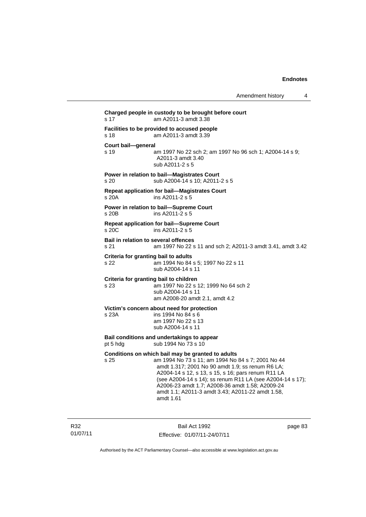| s 17                                           | Charged people in custody to be brought before court<br>am A2011-3 amdt 3.38                                                                                                                                                                                                                                                                                                                      |  |  |  |  |
|------------------------------------------------|---------------------------------------------------------------------------------------------------------------------------------------------------------------------------------------------------------------------------------------------------------------------------------------------------------------------------------------------------------------------------------------------------|--|--|--|--|
| s 18                                           | Facilities to be provided to accused people<br>am A2011-3 amdt 3.39                                                                                                                                                                                                                                                                                                                               |  |  |  |  |
| Court bail-general<br>s 19                     | am 1997 No 22 sch 2; am 1997 No 96 sch 1; A2004-14 s 9;<br>A2011-3 amdt 3.40<br>sub A2011-2 s 5                                                                                                                                                                                                                                                                                                   |  |  |  |  |
| s 20                                           | Power in relation to bail-Magistrates Court<br>sub A2004-14 s 10; A2011-2 s 5                                                                                                                                                                                                                                                                                                                     |  |  |  |  |
| s 20A                                          | <b>Repeat application for bail-Magistrates Court</b><br>ins A2011-2 s 5                                                                                                                                                                                                                                                                                                                           |  |  |  |  |
| s 20B                                          | Power in relation to bail-Supreme Court<br>ins A2011-2 s 5                                                                                                                                                                                                                                                                                                                                        |  |  |  |  |
| s 20C                                          | <b>Repeat application for bail-Supreme Court</b><br>ins A2011-2 s 5                                                                                                                                                                                                                                                                                                                               |  |  |  |  |
| Bail in relation to several offences<br>s 21   | am 1997 No 22 s 11 and sch 2; A2011-3 amdt 3.41, amdt 3.42                                                                                                                                                                                                                                                                                                                                        |  |  |  |  |
| Criteria for granting bail to adults<br>s 22   | am 1994 No 84 s 5; 1997 No 22 s 11<br>sub A2004-14 s 11                                                                                                                                                                                                                                                                                                                                           |  |  |  |  |
| Criteria for granting bail to children<br>s 23 | am 1997 No 22 s 12; 1999 No 64 sch 2<br>sub A2004-14 s 11<br>am A2008-20 amdt 2.1, amdt 4.2                                                                                                                                                                                                                                                                                                       |  |  |  |  |
| s 23A                                          | Victim's concern about need for protection<br>ins 1994 No 84 s 6<br>am 1997 No 22 s 13<br>sub A2004-14 s 11                                                                                                                                                                                                                                                                                       |  |  |  |  |
| pt 5 hdg                                       | Bail conditions and undertakings to appear<br>sub 1994 No 73 s 10                                                                                                                                                                                                                                                                                                                                 |  |  |  |  |
| s 25                                           | Conditions on which bail may be granted to adults<br>am 1994 No 73 s 11; am 1994 No 84 s 7; 2001 No 44<br>amdt 1.317; 2001 No 90 amdt 1.9; ss renum R6 LA;<br>A2004-14 s 12, s 13, s 15, s 16; pars renum R11 LA<br>(see A2004-14 s 14); ss renum R11 LA (see A2004-14 s 17);<br>A2006-23 amdt 1.7; A2008-36 amdt 1.58; A2009-24<br>amdt 1.1; A2011-3 amdt 3.43; A2011-22 amdt 1.58,<br>amdt 1.61 |  |  |  |  |

R32 01/07/11

Bail Act 1992 Effective: 01/07/11-24/07/11 page 83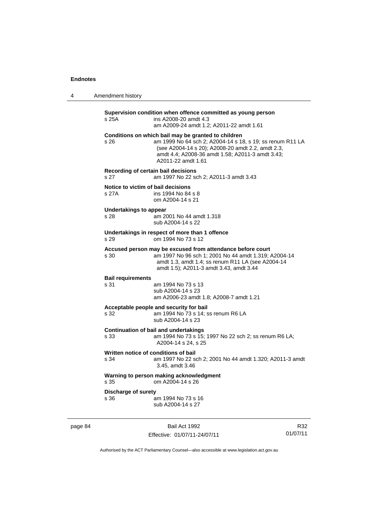4 Amendment history

| s 25A                                       | Supervision condition when offence committed as young person<br>ins A2008-20 amdt 4.3<br>am A2009-24 amdt 1.2: A2011-22 amdt 1.61                                                                                                               |
|---------------------------------------------|-------------------------------------------------------------------------------------------------------------------------------------------------------------------------------------------------------------------------------------------------|
| s 26                                        | Conditions on which bail may be granted to children<br>am 1999 No 64 sch 2; A2004-14 s 18, s 19; ss renum R11 LA<br>(see A2004-14 s 20); A2008-20 amdt 2.2, amdt 2.3,<br>amdt 4.4; A2008-36 amdt 1.58; A2011-3 amdt 3.43;<br>A2011-22 amdt 1.61 |
| s 27                                        | Recording of certain bail decisions<br>am 1997 No 22 sch 2; A2011-3 amdt 3.43                                                                                                                                                                   |
| Notice to victim of bail decisions<br>s 27A | ins 1994 No 84 s 8<br>om A2004-14 s 21                                                                                                                                                                                                          |
| Undertakings to appear<br>s 28              | am 2001 No 44 amdt 1.318<br>sub A2004-14 s 22                                                                                                                                                                                                   |
| s 29                                        | Undertakings in respect of more than 1 offence<br>om 1994 No 73 s 12                                                                                                                                                                            |
| s 30                                        | Accused person may be excused from attendance before court<br>am 1997 No 96 sch 1; 2001 No 44 amdt 1.319; A2004-14<br>amdt 1.3, amdt 1.4; ss renum R11 LA (see A2004-14<br>amdt 1.5); A2011-3 amdt 3.43, amdt 3.44                              |
| <b>Bail requirements</b><br>s 31            | am 1994 No 73 s 13<br>sub A2004-14 s 23<br>am A2006-23 amdt 1.8; A2008-7 amdt 1.21                                                                                                                                                              |
| s 32                                        | Acceptable people and security for bail<br>am 1994 No 73 s 14; ss renum R6 LA<br>sub A2004-14 s 23                                                                                                                                              |
| s 33                                        | <b>Continuation of bail and undertakings</b><br>am 1994 No 73 s 15; 1997 No 22 sch 2; ss renum R6 LA;<br>A2004-14 s 24, s 25                                                                                                                    |
| s 34                                        | Written notice of conditions of bail<br>am 1997 No 22 sch 2; 2001 No 44 amdt 1.320; A2011-3 amdt<br>3.45, amdt 3.46                                                                                                                             |
| s 35                                        | Warning to person making acknowledgment<br>om A2004-14 s 26                                                                                                                                                                                     |
| <b>Discharge of surety</b><br>s 36          | am 1994 No 73 s 16<br>sub A2004-14 s 27                                                                                                                                                                                                         |

page 84 Bail Act 1992 Effective: 01/07/11-24/07/11

R32 01/07/11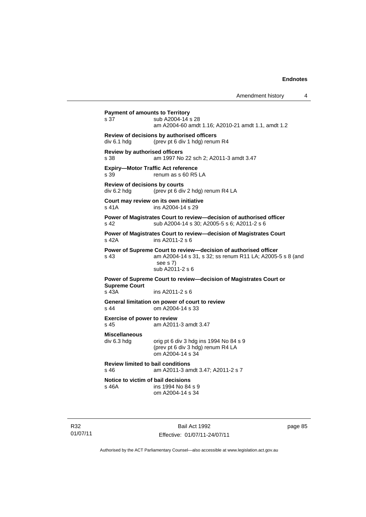| Amendment history |  |
|-------------------|--|
|-------------------|--|

| <b>Payment of amounts to Territory</b><br>s 37        | sub A2004-14 s 28<br>am A2004-60 amdt 1.16; A2010-21 amdt 1.1, amdt 1.2                                                                                     |
|-------------------------------------------------------|-------------------------------------------------------------------------------------------------------------------------------------------------------------|
| div 6.1 hdg                                           | Review of decisions by authorised officers<br>(prev pt 6 div 1 hdg) renum R4                                                                                |
| <b>Review by authorised officers</b><br>s 38          | am 1997 No 22 sch 2; A2011-3 amdt 3.47                                                                                                                      |
| <b>Expiry-Motor Traffic Act reference</b><br>s 39     | renum as s 60 R5 LA                                                                                                                                         |
| Review of decisions by courts<br>div 6.2 hdg          | (prev pt 6 div 2 hdg) renum R4 LA                                                                                                                           |
| s 41A                                                 | Court may review on its own initiative<br>ins A2004-14 s 29                                                                                                 |
| s 42                                                  | Power of Magistrates Court to review-decision of authorised officer<br>sub A2004-14 s 30; A2005-5 s 6; A2011-2 s 6                                          |
| s 42A                                                 | Power of Magistrates Court to review-decision of Magistrates Court<br>ins A2011-2 s 6                                                                       |
| s 43                                                  | Power of Supreme Court to review-decision of authorised officer<br>am A2004-14 s 31, s 32; ss renum R11 LA; A2005-5 s 8 (and<br>see s 7)<br>sub A2011-2 s 6 |
| <b>Supreme Court</b><br>s 43A                         | Power of Supreme Court to review-decision of Magistrates Court or<br>ins A2011-2 s 6                                                                        |
| s 44                                                  | General limitation on power of court to review<br>om A2004-14 s 33                                                                                          |
| <b>Exercise of power to review</b><br>s <sub>45</sub> | am A2011-3 amdt 3.47                                                                                                                                        |
| <b>Miscellaneous</b><br>div 6.3 hdg                   | orig pt 6 div 3 hdg ins 1994 No 84 s 9<br>(prev pt 6 div 3 hdg) renum R4 LA<br>om A2004-14 s 34                                                             |
| <b>Review limited to bail conditions</b><br>s 46      | am A2011-3 amdt 3.47; A2011-2 s 7                                                                                                                           |
| Notice to victim of bail decisions<br>s 46A           | ins 1994 No 84 s 9<br>om A2004-14 s 34                                                                                                                      |
|                                                       |                                                                                                                                                             |

R32 01/07/11

Bail Act 1992 Effective: 01/07/11-24/07/11 page 85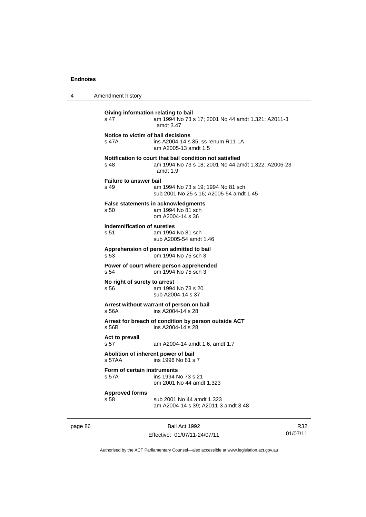| 4 | Amendment history                                                                                                                    |  |  |  |
|---|--------------------------------------------------------------------------------------------------------------------------------------|--|--|--|
|   | Giving information relating to bail<br>s 47<br>am 1994 No 73 s 17; 2001 No 44 amdt 1.321; A2011-3<br>amdt 3.47                       |  |  |  |
|   | Notice to victim of bail decisions<br>s 47A<br>ins A2004-14 s 35; ss renum R11 LA<br>am A2005-13 amdt 1.5                            |  |  |  |
|   | Notification to court that bail condition not satisfied<br>s 48<br>am 1994 No 73 s 18; 2001 No 44 amdt 1.322; A2006-23<br>amdt $1.9$ |  |  |  |
|   | <b>Failure to answer bail</b><br>s 49<br>am 1994 No 73 s 19; 1994 No 81 sch<br>sub 2001 No 25 s 16; A2005-54 amdt 1.45               |  |  |  |
|   | False statements in acknowledgments<br>s 50<br>am 1994 No 81 sch<br>om A2004-14 s 36                                                 |  |  |  |
|   | Indemnification of sureties<br>s 51<br>am 1994 No 81 sch<br>sub A2005-54 amdt 1.46                                                   |  |  |  |
|   | Apprehension of person admitted to bail<br>s 53<br>om 1994 No 75 sch 3                                                               |  |  |  |
|   | Power of court where person apprehended<br>om 1994 No 75 sch 3<br>s 54                                                               |  |  |  |
|   | No right of surety to arrest<br>am 1994 No 73 s 20<br>s 56<br>sub A2004-14 s 37                                                      |  |  |  |
|   | Arrest without warrant of person on bail<br>ins A2004-14 s 28<br>s 56A                                                               |  |  |  |
|   | Arrest for breach of condition by person outside ACT<br>s 56B<br>ins A2004-14 s 28                                                   |  |  |  |
|   | Act to prevail<br>s 57<br>am A2004-14 amdt 1.6, amdt 1.7                                                                             |  |  |  |
|   | Abolition of inherent power of bail<br>s 57AA<br>ins 1996 No 81 s 7                                                                  |  |  |  |
|   | Form of certain instruments<br>ins 1994 No 73 s 21<br>s 57A<br>om 2001 No 44 amdt 1.323                                              |  |  |  |
|   | <b>Approved forms</b><br>sub 2001 No 44 amdt 1.323<br>s 58                                                                           |  |  |  |

page 86 Bail Act 1992 Effective: 01/07/11-24/07/11

R32 01/07/11

Authorised by the ACT Parliamentary Counsel—also accessible at www.legislation.act.gov.au

am A2004-14 s 39; A2011-3 amdt 3.48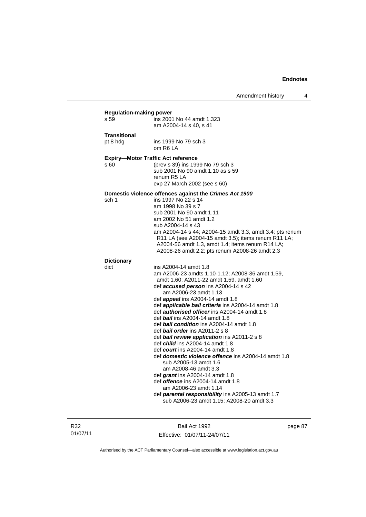|                     | <b>Regulation-making power</b>                                                                          |
|---------------------|---------------------------------------------------------------------------------------------------------|
| s 59                | ins 2001 No 44 amdt 1.323                                                                               |
|                     | am A2004-14 s 40, s 41                                                                                  |
| <b>Transitional</b> |                                                                                                         |
| pt 8 hdg            | ins 1999 No 79 sch 3                                                                                    |
|                     | om R6 LA                                                                                                |
|                     | <b>Expiry-Motor Traffic Act reference</b>                                                               |
| s 60                | (prev s 39) ins 1999 No 79 sch 3                                                                        |
|                     | sub 2001 No 90 amdt 1.10 as s 59                                                                        |
|                     | renum R5 LA                                                                                             |
|                     | exp 27 March 2002 (see s 60)                                                                            |
|                     | Domestic violence offences against the Crimes Act 1900                                                  |
| sch 1               | ins 1997 No 22 s 14                                                                                     |
|                     | am 1998 No 39 s 7                                                                                       |
|                     | sub 2001 No 90 amdt 1.11                                                                                |
|                     | am 2002 No 51 amdt 1.2                                                                                  |
|                     | sub A2004-14 s 43                                                                                       |
|                     | am A2004-14 s 44; A2004-15 amdt 3.3, amdt 3.4; pts renum                                                |
|                     | R11 LA (see A2004-15 amdt 3.5); items renum R11 LA;<br>A2004-56 amdt 1.3, amdt 1.4; items renum R14 LA; |
|                     | A2008-26 amdt 2.2; pts renum A2008-26 amdt 2.3                                                          |
|                     |                                                                                                         |
| <b>Dictionary</b>   |                                                                                                         |
| dict                | ins A2004-14 amdt 1.8                                                                                   |
|                     | am A2006-23 amdts 1.10-1.12; A2008-36 amdt 1.59,<br>amdt 1.60; A2011-22 amdt 1.59, amdt 1.60            |
|                     | def accused person ins A2004-14 s 42                                                                    |
|                     | am A2006-23 amdt 1.13                                                                                   |
|                     | def <i>appeal</i> ins A2004-14 amdt 1.8                                                                 |
|                     | def <b>applicable bail criteria</b> ins A2004-14 amdt 1.8                                               |
|                     | def authorised officer ins A2004-14 amdt 1.8                                                            |
|                     | def <i>bail</i> ins A2004-14 amdt 1.8                                                                   |
|                     | def bail condition ins A2004-14 amdt 1.8                                                                |
|                     | def <i><b>bail order</b></i> ins A2011-2 s 8                                                            |
|                     | def bail review application ins A2011-2 s 8                                                             |
|                     | def <i>child</i> ins A2004-14 amdt 1.8                                                                  |
|                     | def court ins A2004-14 amdt 1.8<br>def <b>domestic violence offence</b> ins A2004-14 amdt 1.8           |
|                     | sub A2005-13 amdt 1.6                                                                                   |
|                     | am A2008-46 amdt 3.3                                                                                    |
|                     | def <i>grant</i> ins A2004-14 amdt 1.8                                                                  |
|                     | def <i>offence</i> ins A2004-14 amdt 1.8                                                                |
|                     | am A2006-23 amdt 1.14                                                                                   |
|                     | def <i>parental responsibility</i> ins A2005-13 amdt 1.7                                                |
|                     |                                                                                                         |

R32 01/07/11

Bail Act 1992 Effective: 01/07/11-24/07/11 page 87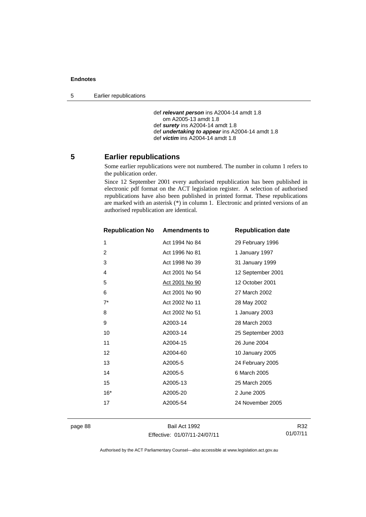5 Earlier republications

```
 def relevant person ins A2004-14 amdt 1.8 
   om A2005-13 amdt 1.8 
def surety ins A2004-14 amdt 1.8 
def undertaking to appear ins A2004-14 amdt 1.8 
def victim ins A2004-14 amdt 1.8
```
# **5 Earlier republications**

Some earlier republications were not numbered. The number in column 1 refers to the publication order.

Since 12 September 2001 every authorised republication has been published in electronic pdf format on the ACT legislation register. A selection of authorised republications have also been published in printed format. These republications are marked with an asterisk (\*) in column 1. Electronic and printed versions of an authorised republication are identical.

| <b>Republication No Amendments to</b> |                | <b>Republication date</b> |
|---------------------------------------|----------------|---------------------------|
| 1                                     | Act 1994 No 84 | 29 February 1996          |
| 2                                     | Act 1996 No 81 | 1 January 1997            |
| 3                                     | Act 1998 No 39 | 31 January 1999           |
| 4                                     | Act 2001 No 54 | 12 September 2001         |
| 5                                     | Act 2001 No 90 | 12 October 2001           |
| 6                                     | Act 2001 No 90 | 27 March 2002             |
| $7^*$                                 | Act 2002 No 11 | 28 May 2002               |
| 8                                     | Act 2002 No 51 | 1 January 2003            |
| 9                                     | A2003-14       | 28 March 2003             |
| 10                                    | A2003-14       | 25 September 2003         |
| 11                                    | A2004-15       | 26 June 2004              |
| 12                                    | A2004-60       | 10 January 2005           |
| 13                                    | A2005-5        | 24 February 2005          |
| 14                                    | A2005-5        | 6 March 2005              |
| 15                                    | A2005-13       | 25 March 2005             |
| $16*$                                 | A2005-20       | 2 June 2005               |
| 17                                    | A2005-54       | 24 November 2005          |
|                                       |                |                           |

page 88 Bail Act 1992 Effective: 01/07/11-24/07/11

R32 01/07/11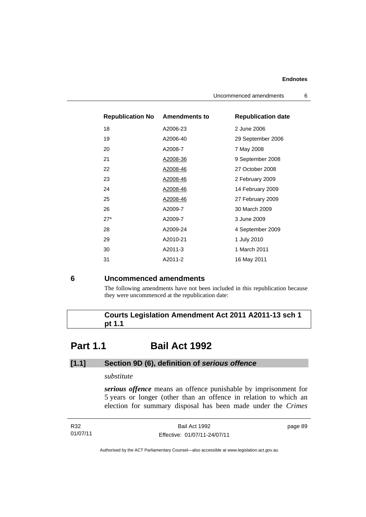| <b>Republication No</b> | <b>Amendments to</b> | <b>Republication date</b> |
|-------------------------|----------------------|---------------------------|
| 18                      | A2006-23             | 2 June 2006               |
| 19                      | A2006-40             | 29 September 2006         |
| 20                      | A2008-7              | 7 May 2008                |
| 21                      | A2008-36             | 9 September 2008          |
| 22                      | A2008-46             | 27 October 2008           |
| 23                      | A2008-46             | 2 February 2009           |
| 24                      | A2008-46             | 14 February 2009          |
| 25                      | A2008-46             | 27 February 2009          |
| 26                      | A2009-7              | 30 March 2009             |
| $27*$                   | A2009-7              | 3 June 2009               |
| 28                      | A2009-24             | 4 September 2009          |
| 29                      | A2010-21             | 1 July 2010               |
| 30                      | A2011-3              | 1 March 2011              |
| 31                      | A2011-2              | 16 May 2011               |

# **6 Uncommenced amendments**

The following amendments have not been included in this republication because they were uncommenced at the republication date:

 **Courts Legislation Amendment Act 2011 A2011-13 sch 1 pt 1.1** 

# **Part 1.1 Bail Act 1992**

# **[1.1] Section 9D (6), definition of** *serious offence*

# *substitute*

*serious offence* means an offence punishable by imprisonment for 5 years or longer (other than an offence in relation to which an election for summary disposal has been made under the *Crimes* 

| R32      | Bail Act 1992                | page 89 |
|----------|------------------------------|---------|
| 01/07/11 | Effective: 01/07/11-24/07/11 |         |